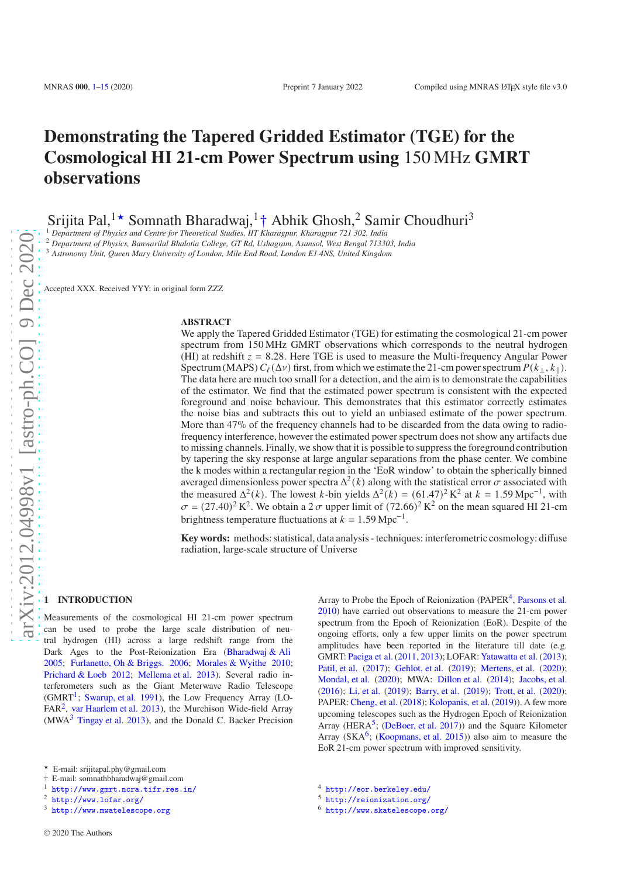# **Demonstrating the Tapered Gridded Estimator (TGE) for the Cosmological HI 21-cm Power Spectrum using** 150 MHz **GMRT observations**

Srijita Pal,<sup>1★</sup> Somnath Bharadwaj,<sup>1</sup>† Abhik Ghosh,<sup>2</sup> Samir Choudhuri<sup>3</sup>

<sup>1</sup> *Department of Physics and Centre for Theoretical Studies, IIT Kharagpur, Kharagpur 721 302, India*

<sup>2</sup> *Department of Physics, Banwarilal Bhalotia College, GT Rd, Ushagram, Asansol, West Bengal 713303, India*

<sup>3</sup> *Astronomy Unit, Queen Mary University of London, Mile End Road, London E1 4NS, United Kingdom*

Accepted XXX. Received YYY; in original form ZZZ

#### **ABSTRACT**

We apply the Tapered Gridded Estimator (TGE) for estimating the cosmological 21-cm power spectrum from 150 MHz GMRT observations which corresponds to the neutral hydrogen (HI) at redshift  $z = 8.28$ . Here TGE is used to measure the Multi-frequency Angular Power Spectrum (MAPS)  $C_{\ell}(\Delta \nu)$  first, from which we estimate the 21-cm power spectrum  $P(k_{\perp}, k_{\parallel})$ . The data here are much too small for a detection, and the aim is to demonstrate the capabilities of the estimator. We find that the estimated power spectrum is consistent with the expected foreground and noise behaviour. This demonstrates that this estimator correctly estimates the noise bias and subtracts this out to yield an unbiased estimate of the power spectrum. More than 47% of the frequency channels had to be discarded from the data owing to radiofrequency interference, however the estimated power spectrum does not show any artifacts due to missing channels. Finally, we show that it is possible to suppress the foreground contribution by tapering the sky response at large angular separations from the phase center. We combine the k modes within a rectangular region in the 'EoR window' to obtain the spherically binned averaged dimensionless power spectra  $\Delta^2(k)$  along with the statistical error  $\sigma$  associated with the measured  $\Delta^2(k)$ . The lowest k-bin yields  $\Delta^2(k) = (61.47)^2 \text{ K}^2$  at  $k = 1.59 \text{ Mpc}^{-1}$ , with  $\sigma = (27.40)^2 \text{ K}^2$ . We obtain a 2  $\sigma$  upper limit of  $(72.66)^2 \text{ K}^2$  on the mean squared HI 21-cm brightness temperature fluctuations at  $k = 1.59 \text{ Mpc}^{-1}$ .

**Key words:** methods: statistical, data analysis - techniques: interferometric cosmology: diffuse radiation, large-scale structure of Universe

# <span id="page-0-0"></span>**1 INTRODUCTION**

Measurements of the cosmological HI 21-cm power spectrum can be used to probe the large scale distribution of neutral hydrogen (HI) across a large redshift range from the Dark Ages to the Post-Reionization Era [\(Bharadwaj & Ali](#page-13-1) [2005](#page-13-1); [Furlanetto, Oh & Briggs. 2006;](#page-13-2) [Morales & Wyithe 2010;](#page-14-0) [Prichard & Loeb 2012](#page-14-1); [Mellema et al. 2013\)](#page-14-2). Several radio interferometers such as the Giant Meterwave Radio Telescope (GMRT<sup>[1](#page-0-1)</sup>; [Swarup, et al. 1991](#page-14-3)), the Low Frequency Array (LO-FAR<sup>[2](#page-0-2)</sup>, [var Haarlem et al. 2013\)](#page-14-4), the Murchison Wide-field Array  $(MWA<sup>3</sup>$  $(MWA<sup>3</sup>$  $(MWA<sup>3</sup>$  [Tingay et al. 2013\)](#page-14-5), and the Donald C. Backer Precision

† E-mail: somnathbharadwaj@gmail.com

Array to Probe the Epoch of Reionization (PAPER<sup>[4](#page-0-4)</sup>, [Parsons et al.](#page-14-6) [2010](#page-14-6)) have carried out observations to measure the 21-cm power spectrum from the Epoch of Reionization (EoR). Despite of the ongoing efforts, only a few upper limits on the power spectrum amplitudes have been reported in the literature till date (e.g. GMRT: [Paciga et al.](#page-14-7) [\(2011,](#page-14-7) [2013](#page-14-8)); LOFAR: [Yatawatta et al.](#page-14-9) [\(2013\)](#page-14-9); [Patil, et al.](#page-14-10) [\(2017](#page-14-10)); [Gehlot, et al.](#page-13-3) [\(2019](#page-13-3)); [Mertens, et al.](#page-14-11) [\(2020\)](#page-14-11); [Mondal, et al.](#page-14-12) [\(2020](#page-14-12)); MWA: [Dillon et al.](#page-13-4) [\(2014](#page-13-4)); [Jacobs, et al.](#page-14-13) [\(2016](#page-14-13)); [Li, et al.](#page-14-14) [\(2019\)](#page-14-14); [Barry, et al.](#page-13-5) [\(2019](#page-13-5)); [Trott, et al.](#page-14-15) [\(2020\)](#page-14-15); PAPER: [Cheng, et al.](#page-13-6) [\(2018](#page-13-6)); [Kolopanis, et al.](#page-14-16) [\(2019\)](#page-14-16)). A few more upcoming telescopes such as the Hydrogen Epoch of Reionization Array (HERA<sup>[5](#page-0-5)</sup>; [\(DeBoer, et al. 2017](#page-13-7))) and the Square Kilometer Array ( $SKA<sup>6</sup>$  $SKA<sup>6</sup>$  $SKA<sup>6</sup>$ ; [\(Koopmans, et al. 2015](#page-14-17))) also aim to measure the EoR 21-cm power spectrum with improved sensitivity.

<sup>★</sup> E-mail: srijitapal.phy@gmail.com

<sup>1</sup> <http://www.gmrt.ncra.tifr.res.in/>

<span id="page-0-1"></span><sup>2</sup> <http://www.lofar.org/>

<span id="page-0-3"></span><span id="page-0-2"></span><sup>3</sup> <http://www.mwatelescope.org>

<sup>4</sup> <http://eor.berkeley.edu/>

<span id="page-0-4"></span><sup>5</sup> <http://reionization.org/>

<span id="page-0-6"></span><span id="page-0-5"></span><sup>6</sup> <http://www.skatelescope.org/>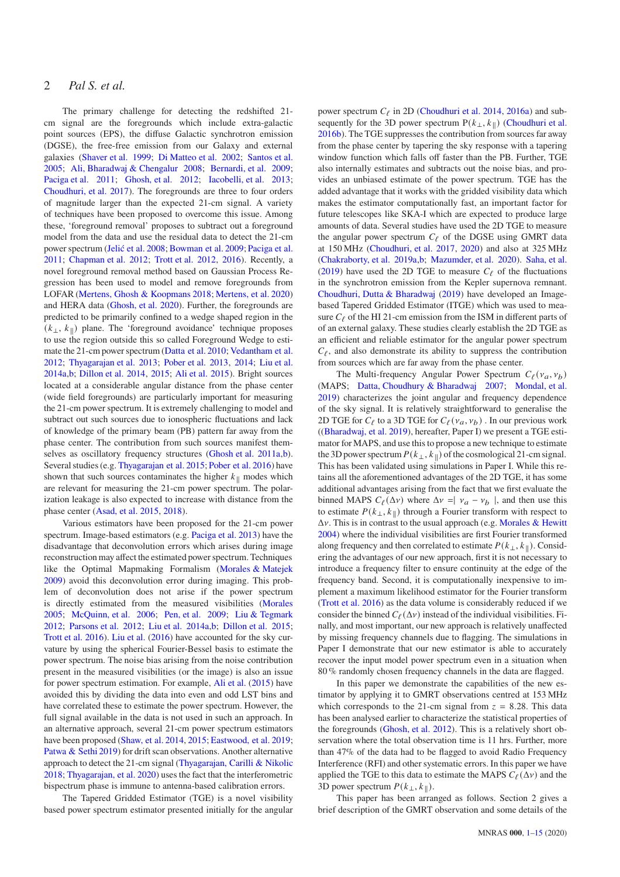# 2 *Pal S. et al.*

The primary challenge for detecting the redshifted 21 cm signal are the foregrounds which include extra-galactic point sources (EPS), the diffuse Galactic synchrotron emission (DGSE), the free-free emission from our Galaxy and external galaxies [\(Shaver et al. 1999](#page-14-18); [Di Matteo et al. 2002;](#page-13-8) [Santos et al.](#page-14-19) [2005](#page-14-19); [Ali, Bharadwaj & Chengalur 2008](#page-13-9); [Bernardi, et al. 2009;](#page-13-10) [Paciga et al. 2011](#page-14-7); [Ghosh, et al. 2012](#page-13-11); [Iacobelli, et al. 2013;](#page-13-12) [Choudhuri, et al. 2017](#page-13-13)). The foregrounds are three to four orders of magnitude larger than the expected 21-cm signal. A variety of techniques have been proposed to overcome this issue. Among these, 'foreground removal' proposes to subtract out a foreground model from the data and use the residual data to detect the 21-cm power spectrum [\(Jelić et al. 2008;](#page-14-20) [Bowman et al. 2009](#page-13-14); [Paciga et al.](#page-14-7) [2011](#page-14-7); [Chapman et al. 2012](#page-13-15); [Trott et al. 2012](#page-14-21), [2016](#page-14-22)). Recently, a novel foreground removal method based on Gaussian Process Regression has been used to model and remove foregrounds from LOFAR [\(Mertens, Ghosh & Koopmans 2018;](#page-14-23) [Mertens, et al. 2020](#page-14-11)) and HERA data [\(Ghosh, et al. 2020](#page-13-16)). Further, the foregrounds are predicted to be primarily confined to a wedge shaped region in the  $(k_{\perp}, k_{\parallel})$  plane. The 'foreground avoidance' technique proposes to use the region outside this so called Foreground Wedge to estimate the 21-cm power spectrum [\(Datta et al. 2010](#page-13-17); [Vedantham et al.](#page-14-24) [2012](#page-14-24); [Thyagarajan et al. 2013](#page-14-25); [Pober et al. 2013](#page-14-26), [2014](#page-14-27); [Liu et al.](#page-14-28) [2014a](#page-14-28)[,b;](#page-14-29) [Dillon et al. 2014](#page-13-4), [2015;](#page-13-18) [Ali et al. 2015](#page-13-19)). Bright sources located at a considerable angular distance from the phase center (wide field foregrounds) are particularly important for measuring the 21-cm power spectrum. It is extremely challenging to model and subtract out such sources due to ionospheric fluctuations and lack of knowledge of the primary beam (PB) pattern far away from the phase center. The contribution from such sources manifest themselves as oscillatory frequency structures [\(Ghosh et al. 2011a](#page-13-20)[,b](#page-13-21)). Several studies (e.g. [Thyagarajan et al. 2015](#page-14-30); [Pober et al. 2016](#page-14-31)) have shown that such sources contaminates the higher  $k_{\parallel}$  modes which are relevant for measuring the 21-cm power spectrum. The polarization leakage is also expected to increase with distance from the phase center [\(Asad, et al. 2015](#page-13-22), [2018\)](#page-13-23).

Various estimators have been proposed for the 21-cm power spectrum. Image-based estimators (e.g. [Paciga et al. 2013\)](#page-14-8) have the disadvantage that deconvolution errors which arises during image reconstruction may affect the estimated power spectrum. Techniques like the Optimal Mapmaking Formalism [\(Morales & Matejek](#page-14-32) [2009](#page-14-32)) avoid this deconvolution error during imaging. This problem of deconvolution does not arise if the power spectrum is directly estimated from the measured visibilities [\(Morales](#page-14-33) [2005](#page-14-33); [McQuinn, et al. 2006](#page-14-34); [Pen, et al. 2009](#page-14-35); [Liu & Tegmark](#page-14-36) [2012](#page-14-36); [Parsons et al. 2012](#page-14-37); [Liu et al. 2014a](#page-14-28)[,b](#page-14-29); [Dillon et al. 2015;](#page-13-18) [Trott et al. 2016](#page-14-22)). [Liu et al.](#page-14-38) [\(2016\)](#page-14-38) have accounted for the sky curvature by using the spherical Fourier-Bessel basis to estimate the power spectrum. The noise bias arising from the noise contribution present in the measured visibilities (or the image) is also an issue for power spectrum estimation. For example, [Ali et al.](#page-13-19) [\(2015](#page-13-19)) have avoided this by dividing the data into even and odd LST bins and have correlated these to estimate the power spectrum. However, the full signal available in the data is not used in such an approach. In an alternative approach, several 21-cm power spectrum estimators have been proposed [\(Shaw, et al. 2014](#page-14-39), [2015](#page-14-40); [Eastwood, et al. 2019;](#page-13-24) [Patwa & Sethi 2019\)](#page-14-41) for drift scan observations. Another alternative approach to detect the 21-cm signal [\(Thyagarajan, Carilli & Nikolic](#page-14-42) [2018](#page-14-42); [Thyagarajan, et al. 2020\)](#page-14-43) uses the fact that the interferometric bispectrum phase is immune to antenna-based calibration errors.

The Tapered Gridded Estimator (TGE) is a novel visibility based power spectrum estimator presented initially for the angular

power spectrum  $C_{\ell}$  in 2D [\(Choudhuri et al. 2014](#page-13-25), [2016a](#page-13-26)) and subsequently for the 3D power spectrum  $P(k_{\perp}, k_{\parallel})$  [\(Choudhuri et al.](#page-13-27) [2016b](#page-13-27)). The TGE suppresses the contribution from sources far away from the phase center by tapering the sky response with a tapering window function which falls off faster than the PB. Further, TGE also internally estimates and subtracts out the noise bias, and provides an unbiased estimate of the power spectrum. TGE has the added advantage that it works with the gridded visibility data which makes the estimator computationally fast, an important factor for future telescopes like SKA-I which are expected to produce large amounts of data. Several studies have used the 2D TGE to measure the angular power spectrum  $C_f$  of the DGSE using GMRT data at 150 MHz [\(Choudhuri, et al. 2017](#page-13-13), [2020](#page-13-28)) and also at 325 MHz [\(Chakraborty, et al. 2019a](#page-13-29)[,b](#page-13-30); [Mazumder, et al. 2020\)](#page-14-44). [Saha, et al.](#page-14-45) [\(2019](#page-14-45)) have used the 2D TGE to measure  $C_f$  of the fluctuations in the synchrotron emission from the Kepler supernova remnant. [Choudhuri, Dutta & Bharadwaj](#page-13-31) [\(2019](#page-13-31)) have developed an Imagebased Tapered Gridded Estimator (ITGE) which was used to measure  $C_f$  of the HI 21-cm emission from the ISM in different parts of of an external galaxy. These studies clearly establish the 2D TGE as an efficient and reliable estimator for the angular power spectrum  $C_{\ell}$ , and also demonstrate its ability to suppress the contribution from sources which are far away from the phase center.

The Multi-frequency Angular Power Spectrum  $C_{\ell}(v_a, v_b)$ (MAPS; [Datta, Choudhury & Bharadwaj 2007](#page-13-32); [Mondal, et al.](#page-14-46) [2019](#page-14-46)) characterizes the joint angular and frequency dependence of the sky signal. It is relatively straightforward to generalise the 2D TGE for  $C_{\ell}$  to a 3D TGE for  $C_{\ell}(v_a, v_b)$  . In our previous work ([\(Bharadwaj, et al. 2019](#page-13-33)), hereafter, Paper I) we present a TGE estimator for MAPS, and use this to propose a new technique to estimate the 3D power spectrum  $P(k_{\perp}, k_{\parallel})$  of the cosmological 21-cm signal. This has been validated using simulations in Paper I. While this retains all the aforementioned advantages of the 2D TGE, it has some additional advantages arising from the fact that we first evaluate the binned MAPS  $C_{\ell}(\Delta \nu)$  where  $\Delta \nu = |\nu_a - \nu_b|$ , and then use this to estimate  $P(k_{\perp}, k_{\parallel})$  through a Fourier transform with respect to  $\Delta v$ . This is in contrast to the usual approach (e.g. [Morales & Hewitt](#page-14-47) [2004](#page-14-47)) where the individual visibilities are first Fourier transformed along frequency and then correlated to estimate  $P(k_{\perp}, k_{\parallel})$ . Considering the advantages of our new approach, first it is not necessary to introduce a frequency filter to ensure continuity at the edge of the frequency band. Second, it is computationally inexpensive to implement a maximum likelihood estimator for the Fourier transform [\(Trott et al. 2016](#page-14-22)) as the data volume is considerably reduced if we consider the binned  $C_{\ell}(\Delta v)$  instead of the individual visibilities. Finally, and most important, our new approach is relatively unaffected by missing frequency channels due to flagging. The simulations in Paper I demonstrate that our new estimator is able to accurately recover the input model power spectrum even in a situation when 80 % randomly chosen frequency channels in the data are flagged.

In this paper we demonstrate the capabilities of the new estimator by applying it to GMRT observations centred at 153 MHz which corresponds to the 21-cm signal from  $z = 8.28$ . This data has been analysed earlier to characterize the statistical properties of the foregrounds [\(Ghosh, et al. 2012](#page-13-11)). This is a relatively short observation where the total observation time is 11 hrs. Further, more than 47% of the data had to be flagged to avoid Radio Frequency Interference (RFI) and other systematic errors. In this paper we have applied the TGE to this data to estimate the MAPS  $C_{\ell}(\Delta v)$  and the 3D power spectrum  $P(k_{\perp}, k_{\parallel})$ .

This paper has been arranged as follows. Section 2 gives a brief description of the GMRT observation and some details of the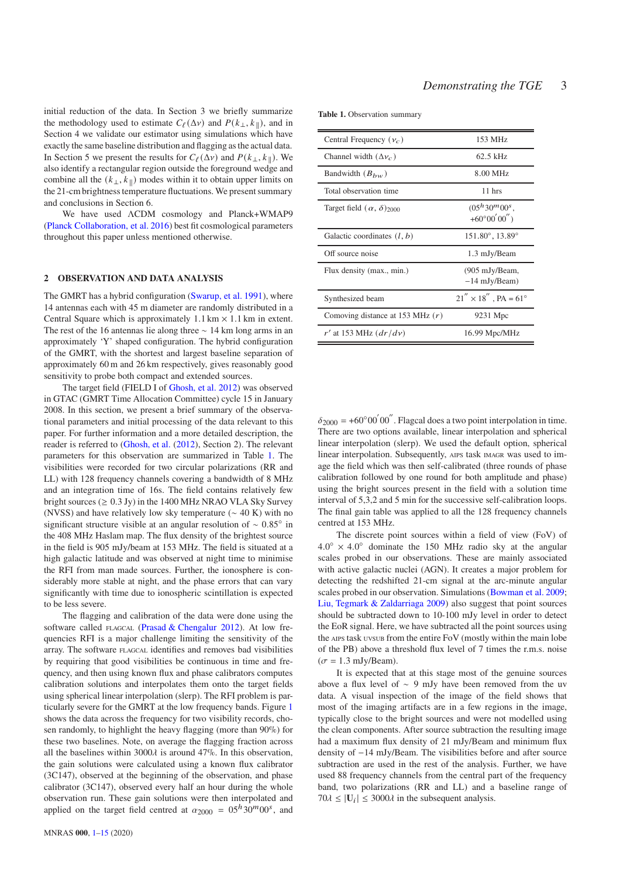initial reduction of the data. In Section 3 we briefly summarize the methodology used to estimate  $C_{\ell}(\Delta \nu)$  and  $P(k_{\perp}, k_{\parallel})$ , and in Section 4 we validate our estimator using simulations which have exactly the same baseline distribution and flagging as the actual data. In Section 5 we present the results for  $C_{\ell}(\Delta v)$  and  $P(k_{\perp}, k_{\parallel})$ . We also identify a rectangular region outside the foreground wedge and combine all the  $(k_{\perp}, k_{\parallel})$  modes within it to obtain upper limits on the 21-cm brightness temperature fluctuations. We present summary and conclusions in Section 6.

We have used ΛCDM cosmology and Planck+WMAP9 [\(Planck Collaboration, et al. 2016](#page-14-48)) best fit cosmological parameters throughout this paper unless mentioned otherwise.

#### **2 OBSERVATION AND DATA ANALYSIS**

The GMRT has a hybrid configuration [\(Swarup, et al. 1991](#page-14-3)), where 14 antennas each with 45 m diameter are randomly distributed in a Central Square which is approximately  $1.1 \text{ km} \times 1.1 \text{ km}$  in extent. The rest of the 16 antennas lie along three ∼ 14 km long arms in an approximately 'Y' shaped configuration. The hybrid configuration of the GMRT, with the shortest and largest baseline separation of approximately 60 m and 26 km respectively, gives reasonably good sensitivity to probe both compact and extended sources.

The target field (FIELD I of [Ghosh, et al. 2012\)](#page-13-11) was observed in GTAC (GMRT Time Allocation Committee) cycle 15 in January 2008. In this section, we present a brief summary of the observational parameters and initial processing of the data relevant to this paper. For further information and a more detailed description, the reader is referred to [\(Ghosh, et al.](#page-13-11) [\(2012](#page-13-11)), Section 2). The relevant parameters for this observation are summarized in Table [1.](#page-2-0) The visibilities were recorded for two circular polarizations (RR and LL) with 128 frequency channels covering a bandwidth of 8 MHz and an integration time of 16s. The field contains relatively few bright sources ( $\geq 0.3$  Jy) in the 1400 MHz NRAO VLA Sky Survey (NVSS) and have relatively low sky temperature (∼ 40 K) with no significant structure visible at an angular resolution of  $\sim 0.85^\circ$  in the 408 MHz Haslam map. The flux density of the brightest source in the field is 905 mJy/beam at 153 MHz. The field is situated at a high galactic latitude and was observed at night time to minimise the RFI from man made sources. Further, the ionosphere is considerably more stable at night, and the phase errors that can vary significantly with time due to ionospheric scintillation is expected to be less severe.

The flagging and calibration of the data were done using the software called FLAGCAL [\(Prasad & Chengalur 2012\)](#page-14-49). At low frequencies RFI is a major challenge limiting the sensitivity of the array. The software FLAGCAL identifies and removes bad visibilities by requiring that good visibilities be continuous in time and frequency, and then using known flux and phase calibrators computes calibration solutions and interpolates them onto the target fields using spherical linear interpolation (slerp). The RFI problem is particularly severe for the GMRT at the low frequency bands. Figure [1](#page-3-0) shows the data across the frequency for two visibility records, chosen randomly, to highlight the heavy flagging (more than 90%) for these two baselines. Note, on average the flagging fraction across all the baselines within 3000 $\lambda$  is around 47%. In this observation, the gain solutions were calculated using a known flux calibrator (3C147), observed at the beginning of the observation, and phase calibrator (3C147), observed every half an hour during the whole observation run. These gain solutions were then interpolated and applied on the target field centred at  $\alpha_{2000} = 0.05 h \cdot 30^m 00^s$ , and

<span id="page-2-0"></span>

| Central Frequency $(\nu_c)$            | 153 MHz                                     |
|----------------------------------------|---------------------------------------------|
| Channel width $(\Delta v_c)$           | $62.5$ kHz                                  |
| Bandwidth $(B_{bw})$                   | 8.00 MHz                                    |
| Total observation time                 | $11$ hrs                                    |
| Target field $(\alpha, \delta)_{2000}$ | $(0.5h 30m 0.0s$ .<br>$+60^{\circ}00'00'$   |
| Galactic coordinates $(l, b)$          | $151.80^{\circ}$ , $13.89^{\circ}$          |
| Off source noise                       | 1.3 mJy/Beam                                |
| Flux density (max., min.)              | $(905 \text{ mJy/Beam})$<br>$-14$ mJy/Beam) |
| Synthesized beam                       | $21'' \times 18''$ , PA = 61°               |
| Comoving distance at 153 MHz $(r)$     | 9231 Mpc                                    |
| r' at 153 MHz $(dr/dv)$                | 16.99 Mpc/MHz                               |

 $\delta_{2000}$  = +60°00<sup>′</sup> 00<sup>″</sup>. Flagcal does a two point interpolation in time. There are two options available, linear interpolation and spherical linear interpolation (slerp). We used the default option, spherical linear interpolation. Subsequently, AIPS task IMAGR was used to image the field which was then self-calibrated (three rounds of phase calibration followed by one round for both amplitude and phase) using the bright sources present in the field with a solution time interval of 5,3,2 and 5 min for the successive self-calibration loops. The final gain table was applied to all the 128 frequency channels centred at 153 MHz.

The discrete point sources within a field of view (FoV) of  $4.0^{\circ} \times 4.0^{\circ}$  dominate the 150 MHz radio sky at the angular scales probed in our observations. These are mainly associated with active galactic nuclei (AGN). It creates a major problem for detecting the redshifted 21-cm signal at the arc-minute angular scales probed in our observation. Simulations [\(Bowman et al. 2009;](#page-13-14) [Liu, Tegmark & Zaldarriaga 2009](#page-14-50)) also suggest that point sources should be subtracted down to 10-100 mJy level in order to detect the EoR signal. Here, we have subtracted all the point sources using the AIPS task UVSUB from the entire FoV (mostly within the main lobe of the PB) above a threshold flux level of 7 times the r.m.s. noise  $(\sigma = 1.3 \text{ mJy/Beam}).$ 

It is expected that at this stage most of the genuine sources above a flux level of ∼ 9 mJy have been removed from the uv data. A visual inspection of the image of the field shows that most of the imaging artifacts are in a few regions in the image, typically close to the bright sources and were not modelled using the clean components. After source subtraction the resulting image had a maximum flux density of 21 mJy/Beam and minimum flux density of −14 mJy/Beam. The visibilities before and after source subtraction are used in the rest of the analysis. Further, we have used 88 frequency channels from the central part of the frequency band, two polarizations (RR and LL) and a baseline range of  $70\lambda \leq |\mathbf{U}_i| \leq 3000\lambda$  in the subsequent analysis.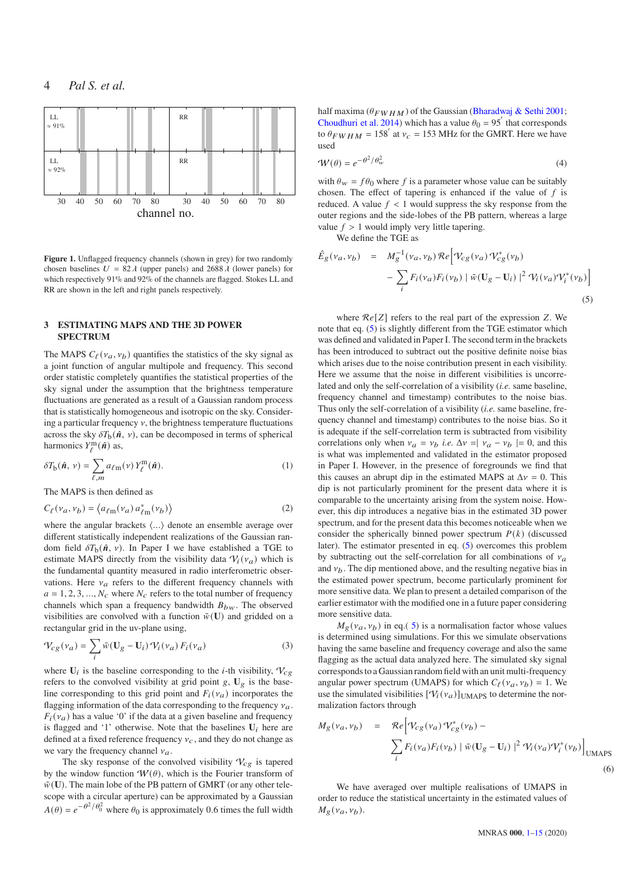

<span id="page-3-0"></span>Figure 1. Unflagged frequency channels (shown in grey) for two randomly chosen baselines  $U = 82 \lambda$  (upper panels) and 2688  $\lambda$  (lower panels) for which respectively 91% and 92% of the channels are flagged. Stokes LL and RR are shown in the left and right panels respectively.

#### **3 ESTIMATING MAPS AND THE 3D POWER SPECTRUM**

The MAPS  $C_{\ell}(v_a, v_b)$  quantifies the statistics of the sky signal as a joint function of angular multipole and frequency. This second order statistic completely quantifies the statistical properties of the sky signal under the assumption that the brightness temperature fluctuations are generated as a result of a Gaussian random process that is statistically homogeneous and isotropic on the sky. Considering a particular frequency  $\nu$ , the brightness temperature fluctuations across the sky  $\delta T_b(\hat{\boldsymbol{n}}, \nu)$ , can be decomposed in terms of spherical harmonics  $Y_{\ell}^{\text{m}}(\hat{\boldsymbol{n}})$  as,

$$
\delta T_{\mathbf{b}}(\hat{\mathbf{n}}, \nu) = \sum_{\ell,m} a_{\ell m}(\nu) Y_{\ell}^{m}(\hat{\mathbf{n}}).
$$
 (1)

The MAPS is then defined as

$$
C_{\ell}(v_a, v_b) = \langle a_{\ell m}(v_a) a_{\ell m}^*(v_b) \rangle \tag{2}
$$

where the angular brackets  $\langle \ldots \rangle$  denote an ensemble average over different statistically independent realizations of the Gaussian random field  $\delta T_{\rm b}(\hat{n}, v)$ . In Paper I we have established a TGE to estimate MAPS directly from the visibility data  $V_i(v_a)$  which is the fundamental quantity measured in radio interferometric observations. Here  $v_a$  refers to the different frequency channels with  $a = 1, 2, 3, ..., N_c$  where  $N_c$  refers to the total number of frequency channels which span a frequency bandwidth  $B_{bw}$ . The observed visibilities are convolved with a function  $\tilde{w}(\mathbf{U})$  and gridded on a rectangular grid in the uv-plane using,

$$
\mathcal{V}_{cg}(v_a) = \sum_i \tilde{w} (\mathbf{U}_g - \mathbf{U}_i) \, \mathcal{V}_i(v_a) \, F_i(v_a) \tag{3}
$$

where  $U_i$  is the baseline corresponding to the *i*-th visibility,  $V_{cg}$ refers to the convolved visibility at grid point  $g$ ,  $U_g$  is the baseline corresponding to this grid point and  $F_i(\nu_a)$  incorporates the flagging information of the data corresponding to the frequency  $v_a$ .  $F_i(\nu_a)$  has a value '0' if the data at a given baseline and frequency is flagged and '1' otherwise. Note that the baselines  $U_i$  here are defined at a fixed reference frequency  $v_c$ , and they do not change as we vary the frequency channel  $v_a$ .

The sky response of the convolved visibility  $V_{cg}$  is tapered by the window function  $W(\theta)$ , which is the Fourier transform of  $\tilde{w}$ (U). The main lobe of the PB pattern of GMRT (or any other telescope with a circular aperture) can be approximated by a Gaussian  $A(\theta) = e^{-\theta^2/\theta_0^2}$  where  $\theta_0$  is approximately 0.6 times the full width half maxima ( $\theta_{FWHM}$ ) of the Gaussian [\(Bharadwaj & Sethi 2001;](#page-13-34) [Choudhuri et al. 2014](#page-13-25)) which has a value  $\theta_0 = 95'$  that corresponds to  $\theta_{FWHM} = 158'$  at  $v_c = 153$  MHz for the GMRT. Here we have used

<span id="page-3-2"></span>
$$
\mathcal{W}(\theta) = e^{-\theta^2/\theta_w^2}
$$
 (4)

with  $\theta_w = f \theta_0$  where f is a parameter whose value can be suitably chosen. The effect of tapering is enhanced if the value of  $f$  is reduced. A value  $f < 1$  would suppress the sky response from the outer regions and the side-lobes of the PB pattern, whereas a large value  $f > 1$  would imply very little tapering.

We define the TGE as

<span id="page-3-1"></span>
$$
\hat{E}_g(\nu_a, \nu_b) = M_g^{-1}(\nu_a, \nu_b) \mathcal{R}e \Big[ \mathcal{V}_{cg}(\nu_a) \mathcal{V}_{cg}^*(\nu_b) - \sum_i F_i(\nu_a) F_i(\nu_b) \Big] \tilde{w} (\mathbf{U}_g - \mathbf{U}_i) \Big]^2 \mathcal{V}_i(\nu_a) \mathcal{V}_i^*(\nu_b) \Big]
$$
\n(5)

where  $Re[Z]$  refers to the real part of the expression Z. We note that eq. [\(5\)](#page-3-1) is slightly different from the TGE estimator which was defined and validated in Paper I. The second term in the brackets has been introduced to subtract out the positive definite noise bias which arises due to the noise contribution present in each visibility. Here we assume that the noise in different visibilities is uncorrelated and only the self-correlation of a visibility (*i.e.* same baseline, frequency channel and timestamp) contributes to the noise bias. Thus only the self-correlation of a visibility (*i.e.* same baseline, frequency channel and timestamp) contributes to the noise bias. So it is adequate if the self-correlation term is subtracted from visibility correlations only when  $v_a = v_b$  *i.e.*  $\Delta v = v_a - v_b = 0$ , and this is what was implemented and validated in the estimator proposed in Paper I. However, in the presence of foregrounds we find that this causes an abrupt dip in the estimated MAPS at  $\Delta v = 0$ . This dip is not particularly prominent for the present data where it is comparable to the uncertainty arising from the system noise. However, this dip introduces a negative bias in the estimated 3D power spectrum, and for the present data this becomes noticeable when we consider the spherically binned power spectrum  $P(k)$  (discussed later). The estimator presented in eq. [\(5\)](#page-3-1) overcomes this problem by subtracting out the self-correlation for all combinations of  $v_a$ and  $v_b$ . The dip mentioned above, and the resulting negative bias in the estimated power spectrum, become particularly prominent for more sensitive data. We plan to present a detailed comparison of the earlier estimator with the modified one in a future paper considering more sensitive data.

<span id="page-3-3"></span> $M_g(\nu_a, \nu_b)$  in eq.( [5\)](#page-3-1) is a normalisation factor whose values is determined using simulations. For this we simulate observations having the same baseline and frequency coverage and also the same flagging as the actual data analyzed here. The simulated sky signal corresponds to a Gaussian random field with an unit multi-frequency angular power spectrum (UMAPS) for which  $C_{\ell}(v_a, v_b) = 1$ . We use the simulated visibilities  $[\mathcal{V}_i(\mathbf{v}_a)]_{\text{UMAPS}}$  to determine the normalization factors through

$$
M_g(\nu_a, \nu_b) = \mathcal{R}e \Big[ \mathcal{V}_{cg}(\nu_a) \mathcal{V}_{cg}^*(\nu_b) - \sum_i F_i(\nu_a) F_i(\nu_b) \Big] \tilde{w} (\mathbf{U}_g - \mathbf{U}_i) \Big]^2 \mathcal{V}_i(\nu_a) \mathcal{V}_i^*(\nu_b) \Big]_{\text{UMAPS}}
$$
\n
$$
(6)
$$

We have averaged over multiple realisations of UMAPS in order to reduce the statistical uncertainty in the estimated values of  $M_g(\nu_a, \nu_b)$ .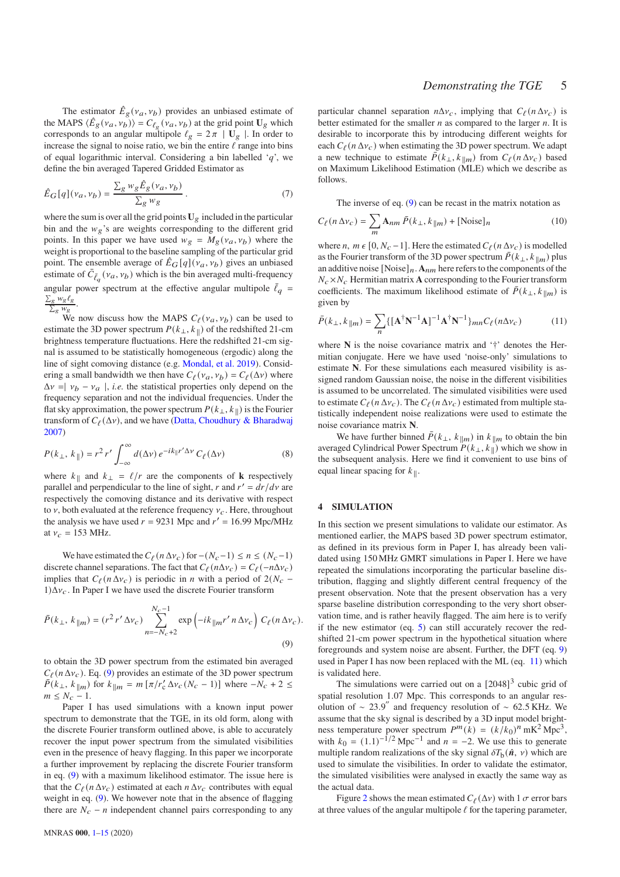The estimator  $\hat{E}_g(v_a, v_b)$  provides an unbiased estimate of the MAPS  $\langle \hat{E}_g(v_a, v_b) \rangle = C_{\ell_g}(v_a, v_b)$  at the grid point  $\mathbf{U}_g$  which corresponds to an angular multipole  $\ell_g = 2\pi \mid U_g \mid$ . In order to increase the signal to noise ratio, we bin the entire  $\ell$  range into bins of equal logarithmic interval. Considering a bin labelled  $q'$ , we define the bin averaged Tapered Gridded Estimator as

$$
\hat{E}_G[q](v_a, v_b) = \frac{\sum_g w_g \hat{E}_g(v_a, v_b)}{\sum_g w_g}.
$$
\n(7)

where the sum is over all the grid points  $U_g$  included in the particular bin and the  $w_g$ 's are weights corresponding to the different grid points. In this paper we have used  $w_g = M_g(v_a, v_b)$  where the weight is proportional to the baseline sampling of the particular grid point. The ensemble average of  $\hat{E}_G[q](v_a, v_b)$  gives an unbiased estimate of  $\bar{C}_{\bar{\ell}_q}(\nu_a, \nu_b)$  which is the bin averaged multi-frequency angular power spectrum at the effective angular multipole  $\bar{\ell}_q$  =  $\sum_{\mathcal{B}} w_{\mathcal{B}} \ell_{\mathcal{B}}$  $\frac{\log n \log \log n}{\sum_{g} w_g}$ .

We now discuss how the MAPS  $C_{\ell}(v_a, v_b)$  can be used to estimate the 3D power spectrum  $P(k_{\perp}, k_{\parallel})$  of the redshifted 21-cm brightness temperature fluctuations. Here the redshifted 21-cm signal is assumed to be statistically homogeneous (ergodic) along the line of sight comoving distance (e.g. [Mondal, et al. 2019](#page-14-46)). Considering a small bandwidth we then have  $C_{\ell}(v_a, v_b) = C_{\ell}(\Delta v)$  where  $\Delta v = v_b - v_a$ , *i.e.* the statistical properties only depend on the frequency separation and not the individual frequencies. Under the flat sky approximation, the power spectrum  $P(k_{\perp}, k_{\parallel})$  is the Fourier transform of  $C_{\ell}(\Delta v)$ , and we have [\(Datta, Choudhury & Bharadwaj](#page-13-32) [2007](#page-13-32))

$$
P(k_{\perp}, k_{\parallel}) = r^2 r' \int_{-\infty}^{\infty} d(\Delta \nu) e^{-ik_{\parallel} r' \Delta \nu} C_{\ell}(\Delta \nu)
$$
 (8)

where  $k_{\parallel}$  and  $k_{\perp} = \ell/r$  are the components of **k** respectively parallel and perpendicular to the line of sight, r and  $r' = dr/dv$  are respectively the comoving distance and its derivative with respect to  $\nu$ , both evaluated at the reference frequency  $\nu_c$ . Here, throughout the analysis we have used  $r = 9231$  Mpc and  $r' = 16.99$  Mpc/MHz at  $v_c = 153$  MHz.

We have estimated the  $C_{\ell}(n \Delta v_c)$  for  $-(N_c-1) \le n \le (N_c-1)$ discrete channel separations. The fact that  $C_{\ell}(n\Delta v_c) = C_{\ell}(-n\Delta v_c)$ implies that  $C_{\ell}(n \Delta v_c)$  is periodic in *n* with a period of 2( $N_c$  –  $1) \Delta v_c$ . In Paper I we have used the discrete Fourier transform

$$
\bar{P}(k_{\perp}, k_{\parallel m}) = (r^2 r' \Delta v_c) \sum_{n=-N_c+2}^{N_c-1} \exp\left(-ik_{\parallel m}r' n \Delta v_c\right) C_{\ell}(n \Delta v_c).
$$
\n(9)

to obtain the 3D power spectrum from the estimated bin averaged  $C_{\ell}(n \Delta v_c)$ . Eq. [\(9\)](#page-4-0) provides an estimate of the 3D power spectrum  $\bar{P}(k_{\perp}, k_{\parallel m})$  for  $k_{\parallel m} = m \left[ \frac{\pi}{r_{\text{c}}} \Delta v_{\text{c}} (N_{\text{c}} - 1) \right]$  where  $-N_{\text{c}} + 2 \leq$  $m \leq N_c - 1$ .

Paper I has used simulations with a known input power spectrum to demonstrate that the TGE, in its old form, along with the discrete Fourier transform outlined above, is able to accurately recover the input power spectrum from the simulated visibilities even in the presence of heavy flagging. In this paper we incorporate a further improvement by replacing the discrete Fourier transform in eq. [\(9\)](#page-4-0) with a maximum likelihood estimator. The issue here is that the  $C_{\ell}(n \Delta v_c)$  estimated at each  $n \Delta v_c$  contributes with equal weight in eq. [\(9\)](#page-4-0). We however note that in the absence of flagging there are  $N_c - n$  independent channel pairs corresponding to any

particular channel separation  $n\Delta v_c$ , implying that  $C_{\ell}(n \Delta v_c)$  is better estimated for the smaller  $n$  as compared to the larger  $n$ . It is desirable to incorporate this by introducing different weights for each  $C_{\ell}(n \Delta v_c)$  when estimating the 3D power spectrum. We adapt a new technique to estimate  $\bar{P}(k_{\perp}, k_{\parallel m})$  from  $C_{\ell}(n \Delta v_c)$  based on Maximum Likelihood Estimation (MLE) which we describe as follows.

The inverse of eq. [\(9\)](#page-4-0) can be recast in the matrix notation as

$$
C_{\ell}(n \Delta v_c) = \sum_{m} \mathbf{A}_{nm} \,\bar{P}(k_{\perp}, k_{\parallel m}) + [\text{Noise}]_n \tag{10}
$$

where *n*,  $m \in [0, N_c - 1]$ . Here the estimated  $C_{\ell}(n \Delta v_c)$  is modelled as the Fourier transform of the 3D power spectrum  $\bar{P}(k_{\perp}, k_{\parallel m})$  plus an additive noise  $[Noise]_n$ .  $A_{nm}$  here refers to the components of the  $N_c \times N_c$  Hermitian matrix **A** corresponding to the Fourier transform coefficients. The maximum likelihood estimate of  $\bar{P}(k_{\perp}, k_{\parallel m})$  is given by

<span id="page-4-1"></span>
$$
\bar{P}(k_{\perp}, k_{\parallel m}) = \sum_{n} \{ [\mathbf{A}^{\dagger} \mathbf{N}^{-1} \mathbf{A}]^{-1} \mathbf{A}^{\dagger} \mathbf{N}^{-1} \}_{mn} C_{\ell} (n \Delta v_{c}) \tag{11}
$$

where **N** is the noise covariance matrix and '†' denotes the Hermitian conjugate. Here we have used 'noise-only' simulations to estimate **N**. For these simulations each measured visibility is assigned random Gaussian noise, the noise in the different visibilities is assumed to be uncorrelated. The simulated visibilities were used to estimate  $C_{\ell}(n \Delta v_c)$ . The  $C_{\ell}(n \Delta v_c)$  estimated from multiple statistically independent noise realizations were used to estimate the noise covariance matrix **N**.

We have further binned  $\bar{P}(k_{\perp}, k_{\parallel m})$  in  $k_{\parallel m}$  to obtain the bin averaged Cylindrical Power Spectrum  $P(k_{\perp}, k_{\parallel})$  which we show in the subsequent analysis. Here we find it convenient to use bins of equal linear spacing for  $k_{\parallel}$ .

#### <span id="page-4-2"></span>**4 SIMULATION**

<span id="page-4-0"></span>In this section we present simulations to validate our estimator. As mentioned earlier, the MAPS based 3D power spectrum estimator, as defined in its previous form in Paper I, has already been validated using 150 MHz GMRT simulations in Paper I. Here we have repeated the simulations incorporating the particular baseline distribution, flagging and slightly different central frequency of the present observation. Note that the present observation has a very sparse baseline distribution corresponding to the very short observation time, and is rather heavily flagged. The aim here is to verify if the new estimator (eq. [5\)](#page-3-1) can still accurately recover the redshifted 21-cm power spectrum in the hypothetical situation where foregrounds and system noise are absent. Further, the DFT (eq. [9\)](#page-4-0) used in Paper I has now been replaced with the ML (eq. [11\)](#page-4-1) which is validated here.

The simulations were carried out on a  $[2048]^3$  cubic grid of spatial resolution 1.07 Mpc. This corresponds to an angular resolution of ∼ 23.9 ′′ and frequency resolution of ∼ 62.5 KHz. We assume that the sky signal is described by a 3D input model brightness temperature power spectrum  $P^m(k) = (k/k_0)^n$  mK<sup>2</sup> Mpc<sup>3</sup>, with  $k_0 = (1.1)^{-1/2}$  Mpc<sup>-1</sup> and  $n = -2$ . We use this to generate multiple random realizations of the sky signal  $\delta T_{\rm b}(\hat{n}, v)$  which are used to simulate the visibilities. In order to validate the estimator, the simulated visibilities were analysed in exactly the same way as the actual data.

Figure [2](#page-5-0) shows the mean estimated  $C_{\ell}(\Delta v)$  with 1  $\sigma$  error bars at three values of the angular multipole  $\ell$  for the tapering parameter,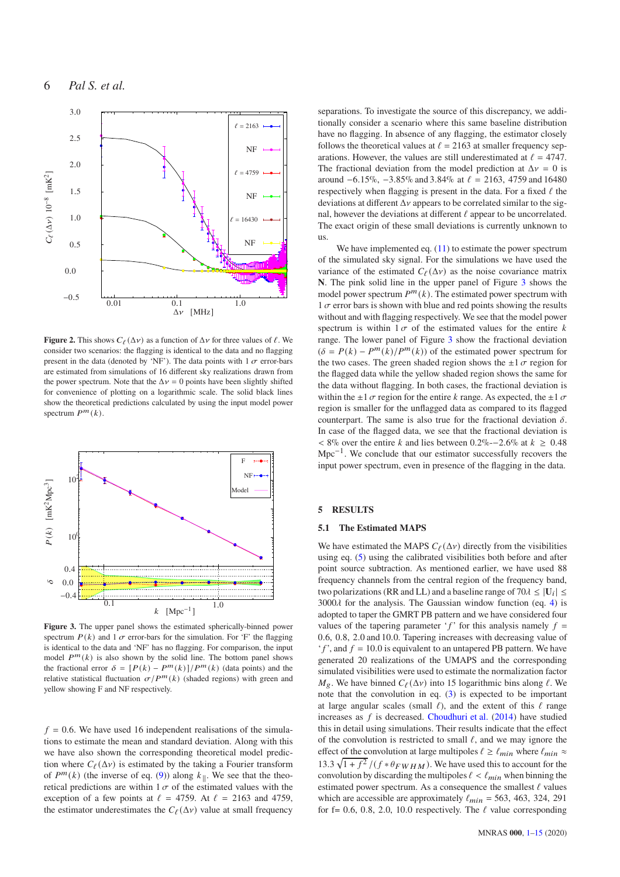6 *Pal S. et al.*



#### rag replacements  $k_{\parallel}$ )

<span id="page-5-0"></span>) mK<sup>2</sup>M**p**<sub>g</sub><sup>3</sup>ure 2. This shows  $C_{\ell}(\Delta \nu)$  as a function of  $\Delta \nu$  for three values of  $\ell$ . We consider two scenarios: the flagging is identical to the data and no flagging **OPOER** (denoted by 'NF'). The data points with  $1 \sigma$  error-bars are estimated from simulations of 16 different sky realizations drawn from the power spectrum. Note that the  $\Delta v = 0$  points have been slightly shifted for convenience of plotting on a logarithmic scale. The solid black lines show the theoretical predictions calculated by using the input model power 16pectrum  $P^m(k)$ .



<span id="page-5-1"></span>**Figure 3.** The upper panel shows the estimated spherically-binned power spectrum  $P(k)$  and 1  $\sigma$  error-bars for the simulation. For 'F' the flagging is identical to the data and 'NF' has no flagging. For comparison, the input model  $P^m(k)$  is also shown by the solid line. The bottom panel shows the fractional error  $\delta = [P(k) - P^m(k)]/P^m(k)$  (data points) and the relative statistical fluctuation  $\sigma/P^m(k)$  (shaded regions) with green and yellow showing F and NF respectively.

 $f = 0.6$ . We have used 16 independent realisations of the simulations to estimate the mean and standard deviation. Along with this we have also shown the corresponding theoretical model prediction where  $C_{\ell}(\Delta v)$  is estimated by the taking a Fourier transform of  $P^m(k)$  (the inverse of eq. [\(9\)](#page-4-0)) along  $k_{\parallel}$ . We see that the theoretical predictions are within  $1 \sigma$  of the estimated values with the exception of a few points at  $\ell = 4759$ . At  $\ell = 2163$  and 4759, the estimator underestimates the  $C_{\ell}(\Delta v)$  value at small frequency

separations. To investigate the source of this discrepancy, we additionally consider a scenario where this same baseline distribution have no flagging. In absence of any flagging, the estimator closely follows the theoretical values at  $\ell = 2163$  at smaller frequency separations. However, the values are still underestimated at  $\ell = 4747$ . The fractional deviation from the model prediction at  $\Delta v = 0$  is around  $-6.15\%$ ,  $-3.85\%$  and  $3.84\%$  at  $\ell = 2163$ , 4759 and 16480 respectively when flagging is present in the data. For a fixed  $\ell$  the deviations at different  $\Delta v$  appears to be correlated similar to the signal, however the deviations at different  $\ell$  appear to be uncorrelated. The exact origin of these small deviations is currently unknown to us.

We have implemented eq.  $(11)$  to estimate the power spectrum of the simulated sky signal. For the simulations we have used the variance of the estimated  $C_{\ell}(\Delta v)$  as the noise covariance matrix **N**. The pink solid line in the upper panel of Figure [3](#page-5-1) shows the model power spectrum  $P^m(k)$ . The estimated power spectrum with  $1 \sigma$  error bars is shown with blue and red points showing the results without and with flagging respectively. We see that the model power spectrum is within  $1\sigma$  of the estimated values for the entire k range. The lower panel of Figure [3](#page-5-1) show the fractional deviation  $(\delta = P(k) - P^m(k)/P^m(k))$  of the estimated power spectrum for the two cases. The green shaded region shows the  $\pm 1 \sigma$  region for the flagged data while the yellow shaded region shows the same for the data without flagging. In both cases, the fractional deviation is within the  $\pm 1 \sigma$  region for the entire k range. As expected, the  $\pm 1 \sigma$ region is smaller for the unflagged data as compared to its flagged counterpart. The same is also true for the fractional deviation  $\delta$ . In case of the flagged data, we see that the fractional deviation is < 8% over the entire k and lies between 0.2%-−2.6% at  $k \ge 0.48$ Mpc<sup>-1</sup>. We conclude that our estimator successfully recovers the input power spectrum, even in presence of the flagging in the data.

#### <span id="page-5-2"></span>**5 RESULTS**

### **5.1 The Estimated MAPS**

We have estimated the MAPS  $C_{\ell}(\Delta \nu)$  directly from the visibilities using eq. [\(5\)](#page-3-1) using the calibrated visibilities both before and after point source subtraction. As mentioned earlier, we have used 88 frequency channels from the central region of the frequency band, two polarizations (RR and LL) and a baseline range of  $70\lambda \leq |U_i| \leq$  $3000\lambda$  for the analysis. The Gaussian window function (eq. [4\)](#page-3-2) is adopted to taper the GMRT PB pattern and we have considered four values of the tapering parameter 'f' for this analysis namely  $f =$ 0.6, 0.8, 2.0 and 10.0. Tapering increases with decreasing value of  $'f'$ , and  $f = 10.0$  is equivalent to an untapered PB pattern. We have generated 20 realizations of the UMAPS and the corresponding simulated visibilities were used to estimate the normalization factor  $M_g$ . We have binned  $C_{\ell}(\Delta v)$  into 15 logarithmic bins along  $\ell$ . We note that the convolution in eq. [\(3\)](#page-3-3) is expected to be important at large angular scales (small  $\ell$ ), and the extent of this  $\ell$  range increases as  $f$  is decreased. [Choudhuri et al.](#page-13-25) [\(2014\)](#page-13-25) have studied this in detail using simulations. Their results indicate that the effect of the convolution is restricted to small  $\ell$ , and we may ignore the effect of the convolution at large multipoles  $\ell \geq \ell_{min}$  where  $\ell_{min} \approx$ 13.3  $\sqrt{1+f^2}/(f*\theta_{FWHM})$ . We have used this to account for the convolution by discarding the multipoles  $\ell < \ell_{min}$  when binning the estimated power spectrum. As a consequence the smallest  $\ell$  values which are accessible are approximately  $\ell_{min} = 563, 463, 324, 291$ for f= 0.6, 0.8, 2.0, 10.0 respectively. The  $\ell$  value corresponding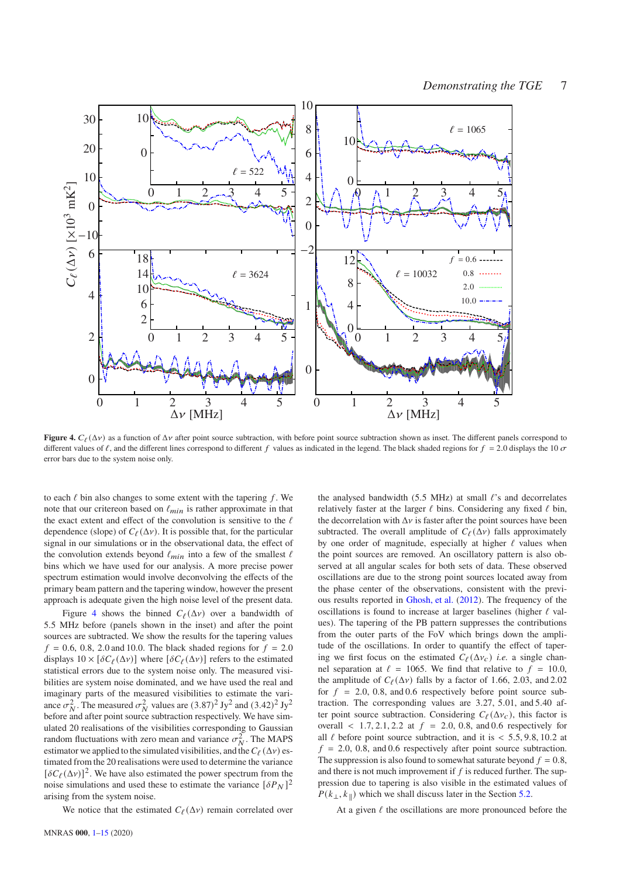

<span id="page-6-0"></span>**Figure 4.**  $C_{\ell}(\Delta \nu)$  as a function of  $\Delta \nu$  after point source subtraction, with before point source subtraction shown as inset. The different panels correspond to different values of  $\ell$ , and the different lines correspond to different  $f$  values as indicated in the legend. The black shaded regions for  $f = 2.0$  displays the 10  $\sigma$ error bars due to the system noise only.

to each  $\ell$  bin also changes to some extent with the tapering  $f$ . We note that our critereon based on  $\ell_{min}$  is rather approximate in that the exact extent and effect of the convolution is sensitive to the  $\ell$ dependence (slope) of  $C_{\ell}(\Delta \nu)$ . It is possible that, for the particular signal in our simulations or in the observational data, the effect of the convolution extends beyond  $\ell_{min}$  into a few of the smallest  $\ell$ bins which we have used for our analysis. A more precise power spectrum estimation would involve deconvolving the effects of the primary beam pattern and the tapering window, however the present approach is adequate given the high noise level of the present data.

Figure [4](#page-6-0) shows the binned  $C_{\ell}(\Delta v)$  over a bandwidth of 5.5 MHz before (panels shown in the inset) and after the point sources are subtracted. We show the results for the tapering values  $f = 0.6, 0.8, 2.0$  and 10.0. The black shaded regions for  $f = 2.0$ displays  $10 \times [\delta C_{\ell}(\Delta \nu)]$  where  $[\delta C_{\ell}(\Delta \nu)]$  refers to the estimated statistical errors due to the system noise only. The measured visibilities are system noise dominated, and we have used the real and imaginary parts of the measured visibilities to estimate the variance  $\sigma_N^2$ . The measured  $\sigma_N^2$  values are  $(3.87)^2$  Jy<sup>2</sup> and  $(3.42)^2$  Jy<sup>2</sup> before and after point source subtraction respectively. We have simulated 20 realisations of the visibilities corresponding to Gaussian random fluctuations with zero mean and variance  $\sigma_N^2$ . The MAPS estimator we applied to the simulated visibilities, and the  $C_{\ell}(\Delta \nu)$  estimated from the 20 realisations were used to determine the variance  $[\delta C_{\ell}(\Delta v)]^2$ . We have also estimated the power spectrum from the noise simulations and used these to estimate the variance  $[\delta P_N]^2$ arising from the system noise.

We notice that the estimated  $C_{\ell}(\Delta v)$  remain correlated over

6

the analysed bandwidth (5.5 MHz) at small  $\ell$ 's and decorrelates relatively faster at the larger  $\ell$  bins. Considering any fixed  $\ell$  bin, the decorrelation with  $\Delta v$  is faster after the point sources have been subtracted. The overall amplitude of  $C_{\ell}(\Delta v)$  falls approximately by one order of magnitude, especially at higher  $\ell$  values when the point sources are removed. An oscillatory pattern is also observed at all angular scales for both sets of data. These observed oscillations are due to the strong point sources located away from the phase center of the observations, consistent with the previous results reported in [Ghosh, et al.](#page-13-11) [\(2012](#page-13-11)). The frequency of the oscillations is found to increase at larger baselines (higher  $\ell$  values). The tapering of the PB pattern suppresses the contributions from the outer parts of the FoV which brings down the amplitude of the oscillations. In order to quantify the effect of tapering we first focus on the estimated  $C_{\ell}(\Delta v_c)$  *i.e.* a single channel separation at  $\ell = 1065$ . We find that relative to  $f = 10.0$ , the amplitude of  $C_{\ell}(\Delta v)$  falls by a factor of 1.66, 2.03, and 2.02 for  $f = 2.0, 0.8,$  and 0.6 respectively before point source subtraction. The corresponding values are 3.27, 5.01, and 5.40 after point source subtraction. Considering  $C_{\ell}(\Delta v_c)$ , this factor is overall  $\langle 1.7, 2.1, 2.2 \text{ at } f = 2.0, 0.8, \text{ and } 0.6 \text{ respectively for }$ all  $\ell$  before point source subtraction, and it is  $\lt$  5.5, 9.8, 10.2 at  $f = 2.0, 0.8,$  and 0.6 respectively after point source subtraction. The suppression is also found to somewhat saturate beyond  $f = 0.8$ , and there is not much improvement if  $f$  is reduced further. The suppression due to tapering is also visible in the estimated values of  $P(k_{\perp}, k_{\parallel})$  which we shall discuss later in the Section [5.2.](#page-8-0)

At a given  $\ell$  the oscillations are more pronounced before the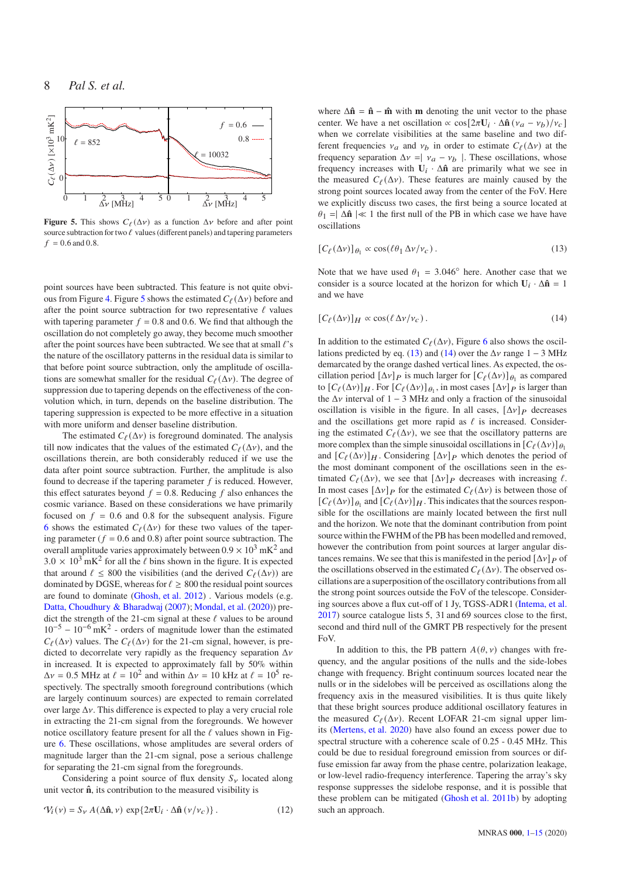

<span id="page-7-0"></span>**Figure 5.** This shows  $C_{\ell}(\Delta \nu)$  as a function  $\Delta \nu$  before and after point source subtraction for two  $\ell$  values (different panels) and tapering parameters  $f = 0.6$  and 0.8.

point sources have been subtracted. This feature is not quite obvi-ous from Figure [4.](#page-6-0) Figure [5](#page-7-0) shows the estimated  $C_{\ell}(\Delta v)$  before and after the point source subtraction for two representative  $\ell$  values with tapering parameter  $f = 0.8$  and 0.6. We find that although the oscillation do not completely go away, they become much smoother after the point sources have been subtracted. We see that at small  $\ell$ 's the nature of the oscillatory patterns in the residual data is similar to that before point source subtraction, only the amplitude of oscillations are somewhat smaller for the residual  $C_{\ell}(\Delta v)$ . The degree of suppression due to tapering depends on the effectiveness of the convolution which, in turn, depends on the baseline distribution. The tapering suppression is expected to be more effective in a situation with more uniform and denser baseline distribution.

The estimated  $C_{\ell}(\Delta v)$  is foreground dominated. The analysis till now indicates that the values of the estimated  $C_{\ell}(\Delta v)$ , and the oscillations therein, are both considerably reduced if we use the data after point source subtraction. Further, the amplitude is also found to decrease if the tapering parameter  $f$  is reduced. However, this effect saturates beyond  $f = 0.8$ . Reducing f also enhances the cosmic variance. Based on these considerations we have primarily focused on  $f = 0.6$  and 0.8 for the subsequent analysis. Figure [6](#page-8-1) shows the estimated  $C_{\ell}(\Delta v)$  for these two values of the tapering parameter ( $f = 0.6$  and 0.8) after point source subtraction. The overall amplitude varies approximately between  $0.9 \times 10^3 \text{ mK}^2$  and  $3.0 \times 10^3$  mK<sup>2</sup> for all the  $\ell$  bins shown in the figure. It is expected that around  $\ell \leq 800$  the visibilities (and the derived  $C_{\ell}(\Delta v)$ ) are dominated by DGSE, whereas for  $\ell \geq 800$  the residual point sources are found to dominate [\(Ghosh, et al. 2012\)](#page-13-11) . Various models (e.g. [Datta, Choudhury & Bharadwaj](#page-13-32) [\(2007](#page-13-32)); [Mondal, et al.](#page-14-51) [\(2020\)](#page-14-51)) predict the strength of the 21-cm signal at these  $\ell$  values to be around  $10^{-5} - 10^{-6}$  mK<sup>2</sup> - orders of magnitude lower than the estimated  $C_{\ell}(\Delta v)$  values. The  $C_{\ell}(\Delta v)$  for the 21-cm signal, however, is predicted to decorrelate very rapidly as the frequency separation  $\Delta v$ in increased. It is expected to approximately fall by 50% within  $\Delta v = 0.5$  MHz at  $\ell = 10^2$  and within  $\Delta v = 10$  kHz at  $\ell = 10^5$  respectively. The spectrally smooth foreground contributions (which are largely continuum sources) are expected to remain correlated over large  $\Delta v$ . This difference is expected to play a very crucial role in extracting the 21-cm signal from the foregrounds. We however notice oscillatory feature present for all the  $\ell$  values shown in Figure [6.](#page-8-1) These oscillations, whose amplitudes are several orders of magnitude larger than the 21-cm signal, pose a serious challenge for separating the 21-cm signal from the foregrounds.

Considering a point source of flux density  $S_{\gamma}$  located along unit vector  $\hat{\mathbf{n}}$ , its contribution to the measured visibility is

$$
\mathcal{V}_i(\nu) = S_{\nu} A(\Delta \hat{\mathbf{n}}, \nu) \exp\{2\pi \mathbf{U}_i \cdot \Delta \hat{\mathbf{n}}(\nu/\nu_c)\}.
$$
 (12)

where  $\Delta \hat{\mathbf{n}} = \hat{\mathbf{n}} - \hat{\mathbf{m}}$  with **m** denoting the unit vector to the phase center. We have a net oscillation  $\propto$   $\cos[2\pi \mathbf{U}_i \cdot \Delta \hat{\mathbf{n}} (\nu_a - \nu_b)/\nu_c]$ when we correlate visibilities at the same baseline and two different frequencies  $v_a$  and  $v_b$  in order to estimate  $C_{\ell}(\Delta v)$  at the frequency separation  $\Delta v = v_a - v_b$  |. These oscillations, whose frequency increases with  $U_i \cdot \Delta \hat{n}$  are primarily what we see in the measured  $C_{\ell}(\Delta v)$ . These features are mainly caused by the strong point sources located away from the center of the FoV. Here we explicitly discuss two cases, the first being a source located at  $\theta_1 = |\Delta \hat{\mathbf{n}}| \ll 1$  the first null of the PB in which case we have have oscillations

<span id="page-7-1"></span>
$$
[C_{\ell}(\Delta v)]_{\theta_1} \propto \cos(\ell \theta_1 \Delta v/v_c). \tag{13}
$$

<span id="page-7-2"></span>Note that we have used  $\theta_1 = 3.046°$  here. Another case that we consider is a source located at the horizon for which  $U_i \cdot \Delta \hat{n} = 1$ and we have

$$
[C_{\ell}(\Delta v)]_H \propto \cos(\ell \Delta v/v_c). \tag{14}
$$

In addition to the estimated  $C_{\ell}(\Delta \nu)$ , Figure [6](#page-8-1) also shows the oscil-lations predicted by eq. [\(13\)](#page-7-1) and [\(14\)](#page-7-2) over the  $\Delta v$  range 1 – 3 MHz demarcated by the orange dashed vertical lines. As expected, the oscillation period  $[\Delta v]_P$  is much larger for  $[C_{\ell}(\Delta v)]_{\theta_1}$  as compared to  $[C_{\ell}(\Delta v)]_H$ . For  $[C_{\ell}(\Delta v)]_{\theta_1}$ , in most cases  $[\Delta v]_P$  is larger than the  $\Delta v$  interval of 1 − 3 MHz and only a fraction of the sinusoidal oscillation is visible in the figure. In all cases,  $[\Delta v]_P$  decreases and the oscillations get more rapid as  $\ell$  is increased. Considering the estimated  $C_{\ell}(\Delta v)$ , we see that the oscillatory patterns are more complex than the simple sinusoidal oscillations in  $[C_{\ell}(\Delta v)]_{\theta_1}$ and  $[C_{\ell}(\Delta v)]_H$ . Considering  $[\Delta v]_P$  which denotes the period of the most dominant component of the oscillations seen in the estimated  $C_{\ell}(\Delta v)$ , we see that  $[\Delta v]_P$  decreases with increasing  $\ell$ . In most cases  $[\Delta v]_P$  for the estimated  $C_{\ell}(\Delta v)$  is between those of  $[C_{\ell}(\Delta v)]_{\theta_1}$  and  $[C_{\ell}(\Delta v)]_H$ . This indicates that the sources responsible for the oscillations are mainly located between the first null and the horizon. We note that the dominant contribution from point source within the FWHM of the PB has been modelled and removed, however the contribution from point sources at larger angular distances remains. We see that this is manifested in the period  $[\Delta v]_P$  of the oscillations observed in the estimated  $C_{\ell}(\Delta v)$ . The observed oscillations are a superposition of the oscillatory contributions from all the strong point sources outside the FoV of the telescope. Considering sources above a flux cut-off of 1 Jy, TGSS-ADR1 [\(Intema, et al.](#page-13-35) [2017](#page-13-35)) source catalogue lists 5, 31 and 69 sources close to the first, second and third null of the GMRT PB respectively for the present FoV.

In addition to this, the PB pattern  $A(\theta, \nu)$  changes with frequency, and the angular positions of the nulls and the side-lobes change with frequency. Bright continuum sources located near the nulls or in the sidelobes will be perceived as oscillations along the frequency axis in the measured visibilities. It is thus quite likely that these bright sources produce additional oscillatory features in the measured  $C_{\ell}(\Delta v)$ . Recent LOFAR 21-cm signal upper limits [\(Mertens, et al. 2020](#page-14-11)) have also found an excess power due to spectral structure with a coherence scale of 0.25 - 0.45 MHz. This could be due to residual foreground emission from sources or diffuse emission far away from the phase centre, polarization leakage, or low-level radio-frequency interference. Tapering the array's sky response suppresses the sidelobe response, and it is possible that these problem can be mitigated [\(Ghosh et al. 2011b](#page-13-21)) by adopting such an approach.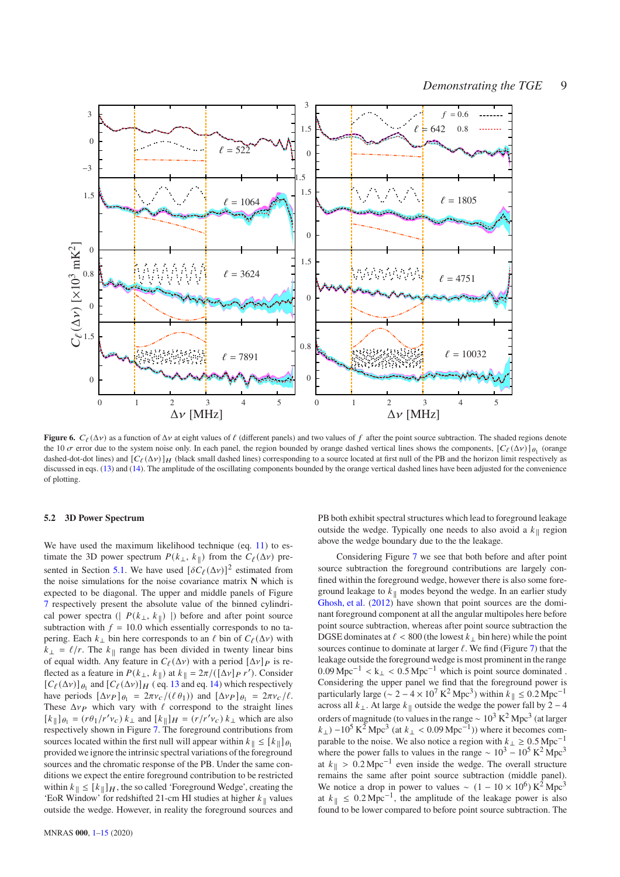

<span id="page-8-1"></span>**Figure 6.**  $C_{\ell}(\Delta \nu)$  as a function of  $\Delta \nu$  at eight values of  $\ell$  (different panels) and two values of  $f$  after the point source subtraction. The shaded regions denote the 10  $\sigma$  error due to the system noise only. In each panel, the region bounded by orange dashed vertical lines shows the components,  $[C_{\ell}(\Delta v)]_{\theta_1}$  (orange dashed-dot-dot lines) and  $\left[ C_{\ell}(\Delta v) \right]$  (black small dashed lines) corresponding to a source located at first null of the PB and the horizon limit respectively as discussed in eqs. [\(13\)](#page-7-1) and [\(14\)](#page-7-2). The amplitude of the oscillating components bounded by the orange vertical dashed lines have been adjusted for the convenience of plotting.

# <span id="page-8-0"></span>**5.2 3D Power Spectrum**

We have used the maximum likelihood technique (eq. [11\)](#page-4-1) to estimate the 3D power spectrum  $P(k_{\perp}, k_{\parallel})$  from the  $C_{\ell}(\Delta \nu)$  pre-sented in Section [5.1.](#page-5-2) We have used  $\left[\delta C_{\ell}(\Delta \nu)\right]^2$  estimated from the noise simulations for the noise covariance matrix **N** which is expected to be diagonal. The upper and middle panels of Figure [7](#page-9-0) respectively present the absolute value of the binned cylindrical power spectra (|  $P(k_{\perp}, k_{\parallel})$  |) before and after point source subtraction with  $f = 10.0$  which essentially corresponds to no tapering. Each  $k_{\perp}$  bin here corresponds to an  $\ell$  bin of  $C_{\ell}(\Delta \nu)$  with  $k_{\perp} = \ell/r$ . The  $k_{\parallel}$  range has been divided in twenty linear bins of equal width. Any feature in  $C_{\ell}(\Delta v)$  with a period  $[\Delta v]_P$  is reflected as a feature in  $P(k_{\perp}, k_{\parallel})$  at  $k_{\parallel} = 2\pi/(\sqrt{[\Delta v] P r')}$ . Consider  $[C_{\ell}(\Delta v)]_{\theta_1}$  and  $[C_{\ell}(\Delta v)]_H$  (eq. [13](#page-7-1) and eq. [14\)](#page-7-2) which respectively have periods  $[\Delta v_P]_{\theta_1} = 2\pi v_C/(\ell \theta_1)$  and  $[\Delta v_P]_{\theta_1} = 2\pi v_C/\ell$ . These  $\Delta v_P$  which vary with  $\ell$  correspond to the straight lines  $[k_{\parallel}]_{\theta_1} = (r\theta_1/r'v_c) k_{\perp}$  and  $[k_{\parallel}]_H = (r/r'v_c) k_{\perp}$  which are also respectively shown in Figure [7.](#page-9-0) The foreground contributions from sources located within the first null will appear within  $k_{\parallel} \leq [k_{\parallel}] \theta_1$ provided we ignore the intrinsic spectral variations of the foreground sources and the chromatic response of the PB. Under the same conditions we expect the entire foreground contribution to be restricted within  $k_{\parallel} \leq [k_{\parallel}]_H$ , the so called 'Foreground Wedge', creating the 'EoR Window' for redshifted 21-cm HI studies at higher  $k_{\parallel}$  values outside the wedge. However, in reality the foreground sources and PB both exhibit spectral structures which lead to foreground leakage outside the wedge. Typically one needs to also avoid a  $k_{\parallel}$  region above the wedge boundary due to the the leakage.

Considering Figure [7](#page-9-0) we see that both before and after point source subtraction the foreground contributions are largely confined within the foreground wedge, however there is also some foreground leakage to  $k_{\parallel}$  modes beyond the wedge. In an earlier study [Ghosh, et al.](#page-13-11) [\(2012](#page-13-11)) have shown that point sources are the dominant foreground component at all the angular multipoles here before point source subtraction, whereas after point source subtraction the DGSE dominates at  $\ell$  < 800 (the lowest  $k_{\perp}$  bin here) while the point sources continue to dominate at larger  $\ell$ . We find (Figure [7\)](#page-9-0) that the leakage outside the foreground wedge is most prominent in the range  $0.09 \text{ Mpc}^{-1} < k_{\perp} < 0.5 \text{ Mpc}^{-1}$  which is point source dominated . Considering the upper panel we find that the foreground power is particularly large ( $\sim 2 - 4 \times 10^7 \text{ K}^2 \text{ Mpc}^3$ ) within  $k_{\parallel} \leq 0.2 \text{ Mpc}^{-1}$ across all  $k_\perp$ . At large  $k_\parallel$  outside the wedge the power fall by 2 − 4 orders of magnitude (to values in the range ~  $10^3 \text{ K}^2 \text{ Mpc}^3$  (at larger  $(k_{\perp})$  –10<sup>5</sup> K<sup>2</sup> Mpc<sup>3</sup> (at  $k_{\perp}$  < 0.09 Mpc<sup>-1</sup>)) where it becomes comparable to the noise. We also notice a region with  $k_\perp \geq 0.5$  Mpc<sup>-1</sup> where the power falls to values in the range ~  $10^3 - 10^5$  K<sup>2</sup> Mpc<sup>3</sup> at  $k_{\parallel} > 0.2 \text{ Mpc}^{-1}$  even inside the wedge. The overall structure remains the same after point source subtraction (middle panel). We notice a drop in power to values ~  $(1 - 10 \times 10^6) \text{ K}^2 \text{ Mpc}^3$ at  $k_{\parallel} \leq 0.2 \,\text{Mpc}^{-1}$ , the amplitude of the leakage power is also found to be lower compared to before point source subtraction. The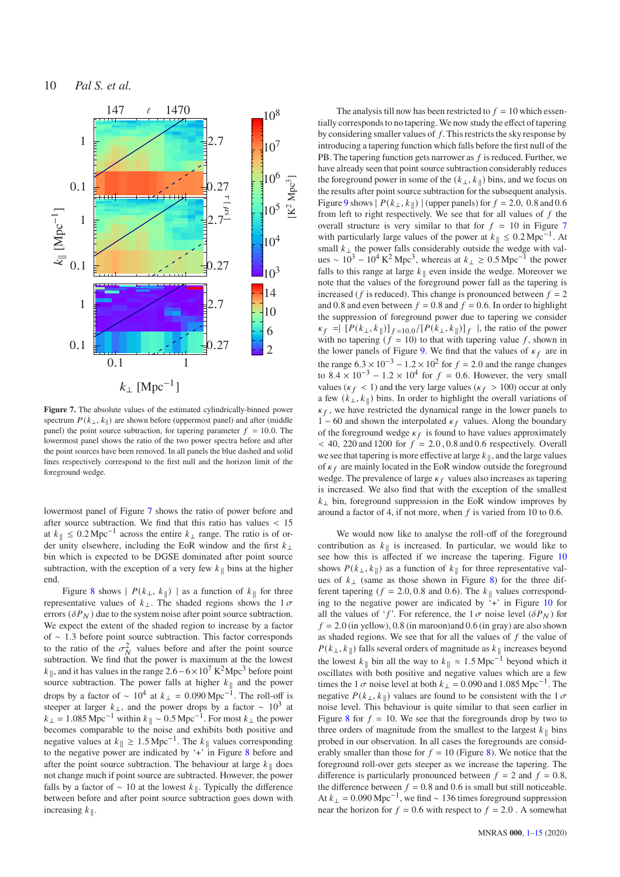$f = 0.6$ 0.8 2.0 10.0  $k_{\perp} \approx 0.08$  $k_{\perp} \approx 0.1710$  $k_{\perp} \approx 0.5$ 

Pal S. et al.



<span id="page-9-0"></span>**Figure 7.** The absolute values of the estimated cylindrically-binned power spectrum  $P(k_{\perp}, k_{\parallel})$  are shown before (uppermost panel) and after (middle panel) the point source subtraction, for tapering parameter  $f = 10.0$ . The lowermost panel shows the ratio of the two power spectra before and after the point sources have been removed. In all panels the blue dashed and solid lines respectively correspond to the first null and the horizon limit of the foreground wedge.

lowermost panel of Figure [7](#page-9-0) shows the ratio of power before and after source subtraction. We find that this ratio has values < 15 at  $k_{\parallel} \leq 0.2 \,\text{Mpc}^{-1}$  across the entire  $k_{\perp}$  range. The ratio is of order unity elsewhere, including the EoR window and the first  $k_{\perp}$ bin which is expected to be DGSE dominated after point source subtraction, with the exception of a very few  $k_{\parallel}$  bins at the higher end.

Figure [8](#page-10-0) shows  $| P(k_{\perp}, k_{\parallel}) |$  as a function of  $k_{\parallel}$  for three representative values of  $k_{\perp}$ . The shaded regions shows the 1  $\sigma$ errors ( $\delta P_N$ ) due to the system noise after point source subtraction. We expect the extent of the shaded region to increase by a factor of ∼ 1.3 before point source subtraction. This factor corresponds to the ratio of the  $\sigma_N^2$  values before and after the point source subtraction. We find that the power is maximum at the the lowest  $k_{\parallel}$ , and it has values in the range 2.6 – 6 × 10<sup>7</sup> K<sup>2</sup>Mpc<sup>3</sup> before point source subtraction. The power falls at higher  $k_{\parallel}$  and the power drops by a factor of  $\sim 10^4$  at  $k_{\perp} = 0.090 \,\text{Mpc}^{-1}$ . The roll-off is steeper at larger  $k_{\perp}$ , and the power drops by a factor ~ 10<sup>3</sup> at  $k_{\perp} = 1.085 \text{ Mpc}^{-1}$  within  $k_{\parallel} \sim 0.5 \text{ Mpc}^{-1}$ . For most  $k_{\perp}$  the power becomes comparable to the noise and exhibits both positive and negative values at  $k_{\parallel} \geq 1.5 \,\text{Mpc}^{-1}$ . The  $k_{\parallel}$  values corresponding to the negative power are indicated by '+' in Figure [8](#page-10-0) before and after the point source subtraction. The behaviour at large  $k_{\parallel}$  does not change much if point source are subtracted. However, the power falls by a factor of  $\sim$  10 at the lowest  $k_{\parallel}$ . Typically the difference between before and after point source subtraction goes down with increasing  $k_{\parallel}$ .

The analysis till now has been restricted to  $f = 10$  which essentially corresponds to no tapering. We now study the effect of tapering by considering smaller values of  $f$ . This restricts the sky response by introducing a tapering function which falls before the first null of the PB. The tapering function gets narrower as  $f$  is reduced. Further, we have already seen that point source subtraction considerably reduces the foreground power in some of the  $(k_{\perp}, k_{\parallel})$  bins, and we focus on the results after point source subtraction for the subsequent analysis. Figure [9](#page-11-0) shows  $\mid P(k_{\perp}, k_{\parallel}) \mid$  (upper panels) for  $f = 2.0, 0.8$  and 0.6 from left to right respectively. We see that for all values of  $f$  the overall structure is very similar to that for  $f = 10$  in Figure [7](#page-9-0) with particularly large values of the power at  $k_{\parallel} \leq 0.2 \,\text{Mpc}^{-1}$ . At small  $k_{\perp}$  the power falls considerably outside the wedge with values ~  $10^3 - 10^4 \text{ K}^2 \text{ Mpc}^3$ , whereas at  $k_\perp \geq 0.5 \text{ Mpc}^{-1}$  the power falls to this range at large  $k_{\parallel}$  even inside the wedge. Moreover we note that the values of the foreground power fall as the tapering is increased ( $f$  is reduced). This change is pronounced between  $f = 2$ and 0.8 and even between  $f = 0.8$  and  $f = 0.6$ . In order to highlight the suppression of foreground power due to tapering we consider  $\kappa_f = \left[ P(k_\perp, k_\parallel) \right]_{f=10.0} / \left[ P(k_\perp, k_\parallel) \right]_f$ , the ratio of the power with no tapering  $(f = 10)$  to that with tapering value f, shown in the lower panels of Figure [9.](#page-11-0) We find that the values of  $\kappa_f$  are in the range  $6.3 \times 10^{-3} - 1.2 \times 10^2$  for  $f = 2.0$  and the range changes to  $8.4 \times 10^{-3} - 1.2 \times 10^{4}$  for  $f = 0.6$ . However, the very small values ( $\kappa_f$  < 1) and the very large values ( $\kappa_f$  > 100) occur at only a few  $(k_{\perp}, k_{\parallel})$  bins. In order to highlight the overall variations of  $\kappa_f$ , we have restricted the dynamical range in the lower panels to  $-60$  and shown the interpolated  $\kappa_f$  values. Along the boundary of the foreground wedge  $\kappa_f$  is found to have values approximately  $<$  40, 220 and 1200 for  $f = 2.0$ , 0.8 and 0.6 respectively. Overall we see that tapering is more effective at large  $k_{\parallel}$ , and the large values of  $\kappa_f$  are mainly located in the EoR window outside the foreground wedge. The prevalence of large  $\kappa_f$  values also increases as tapering is increased. We also find that with the exception of the smallest  $k_{\perp}$  bin, foreground suppression in the EoR window improves by around a factor of 4, if not more, when  $f$  is varied from 10 to 0.6.

We would now like to analyse the roll-off of the foreground contribution as  $k_{\parallel}$  is increased. In particular, we would like to see how this is affected if we increase the tapering. Figure [10](#page-11-1) shows  $P(k_{\perp}, k_{\parallel})$  as a function of  $k_{\parallel}$  for three representative values of  $k_{\perp}$  (same as those shown in Figure [8\)](#page-10-0) for the three different tapering ( $f = 2.0, 0.8$  and 0.6). The  $k_{\parallel}$  values corresponding to the negative power are indicated by  $\ddot{i}$ +' in Figure [10](#page-11-1) for all the values of 'f'. For reference, the  $1\sigma$  noise level ( $\delta P_N$ ) for  $f = 2.0$  (in yellow), 0.8 (in maroon)and 0.6 (in gray) are also shown as shaded regions. We see that for all the values of  $f$  the value of  $P(k_{\perp}, k_{\parallel})$  falls several orders of magnitude as  $k_{\parallel}$  increases beyond the lowest  $k_{\parallel}$  bin all the way to  $k_{\parallel} \approx 1.5$  Mpc<sup>-1</sup> beyond which it oscillates with both positive and negative values which are a few times the 1  $\sigma$  noise level at both  $k_{\perp} = 0.090$  and 1.085 Mpc<sup>-1</sup>. The negative  $P(k_{\perp}, k_{\parallel})$  values are found to be consistent with the 1  $\sigma$ noise level. This behaviour is quite similar to that seen earlier in Figure [8](#page-10-0) for  $f = 10$ . We see that the foregrounds drop by two to three orders of magnitude from the smallest to the largest  $k_{\parallel}$  bins probed in our observation. In all cases the foregrounds are considerably smaller than those for  $f = 10$  (Figure [8\)](#page-10-0). We notice that the foreground roll-over gets steeper as we increase the tapering. The difference is particularly pronounced between  $f = 2$  and  $f = 0.8$ , the difference between  $f = 0.8$  and 0.6 is small but still noticeable. At  $k_{\perp} = 0.090 \text{ Mpc}^{-1}$ , we find ~ 136 times foreground suppression near the horizon for  $f = 0.6$  with respect to  $f = 2.0$ . A somewhat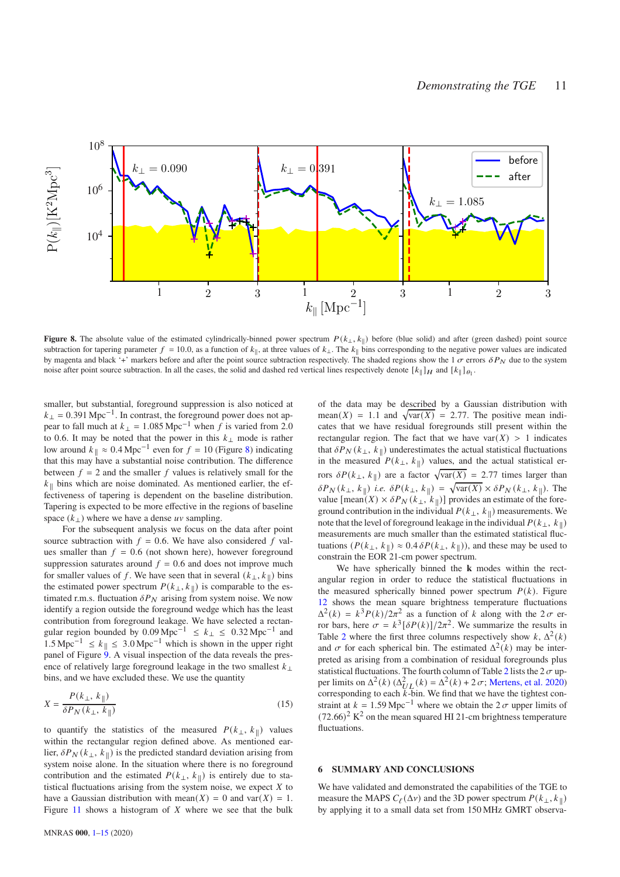

<span id="page-10-0"></span>**Figure 8.** The absolute value of the estimated cylindrically-binned power spectrum  $P(k_{\perp}, k_{\parallel})$  before (blue solid) and after (green dashed) point source subtraction for tapering parameter  $f = 10.0$ , as a function of  $k_{\parallel}$ , at three values of  $k_{\perp}$ . The  $k_{\parallel}$  bins corresponding to the negative power values are indicated by magenta and black '+' markers before and after the point source subtraction respectively. The shaded regions show the 1  $\sigma$  errors  $\delta P_N$  due to the system noise after point source subtraction. In all the cases, the solid and dashed red vertical lines respectively denote  $[k_{\parallel}]_H$  and  $[k_{\parallel}]_{{\theta}_1}$ .

smaller, but substantial, foreground suppression is also noticed at  $k_{\perp}$  = 0.391 Mpc<sup>-1</sup>. In contrast, the foreground power does not appear to fall much at  $k_{\perp} = 1.085 \text{ Mpc}^{-1}$  when  $\hat{f}$  is varied from 2.0 to 0.6. It may be noted that the power in this  $k_{\perp}$  mode is rather low around  $k_{\parallel} \approx 0.4 \text{ Mpc}^{-1}$  even for  $f = 10$  (Figure [8\)](#page-10-0) indicating that this may have a substantial noise contribution. The difference between  $f = 2$  and the smaller f values is relatively small for the  $k_{\parallel}$  bins which are noise dominated. As mentioned earlier, the effectiveness of tapering is dependent on the baseline distribution. Tapering is expected to be more effective in the regions of baseline space  $(k_{\perp})$  where we have a dense  $uv$  sampling.

For the subsequent analysis we focus on the data after point source subtraction with  $f = 0.6$ . We have also considered f values smaller than  $f = 0.6$  (not shown here), however foreground suppression saturates around  $f = 0.6$  and does not improve much for smaller values of f. We have seen that in several  $(k_{\perp}, k_{\parallel})$  bins the estimated power spectrum  $P(k_{\perp}, k_{\parallel})$  is comparable to the estimated r.m.s. fluctuation  $\delta P_N$  arising from system noise. We now identify a region outside the foreground wedge which has the least contribution from foreground leakage. We have selected a rectangular region bounded by 0.09 Mpc<sup>-1</sup>  $\leq k_{\perp} \leq 0.32$  Mpc<sup>-1</sup> and  $1.5 \text{ Mpc}^{-1} \le k_{\parallel} \le 3.0 \text{ Mpc}^{-1}$  which is shown in the upper right panel of Figure  $\overline{9}$ . A visual inspection of the data reveals the presence of relatively large foreground leakage in the two smallest  $k_{\perp}$ bins, and we have excluded these. We use the quantity

$$
X = \frac{P(k_{\perp}, k_{\parallel})}{\delta P_N(k_{\perp}, k_{\parallel})}
$$
\n(15)

to quantify the statistics of the measured  $P(k_{\perp}, k_{\parallel})$  values within the rectangular region defined above. As mentioned earlier,  $\delta P_N(k_{\perp}, k_{\parallel})$  is the predicted standard deviation arising from system noise alone. In the situation where there is no foreground contribution and the estimated  $P(k_{\perp}, k_{\parallel})$  is entirely due to statistical fluctuations arising from the system noise, we expect  $X$  to have a Gaussian distribution with mean( $X$ ) = 0 and var( $X$ ) = 1. Figure  $11$  shows a histogram of  $X$  where we see that the bulk of the data may be described by a Gaussian distribution with mean(X) = 1.1 and  $\sqrt{\text{var}(X)}$  = 2.77. The positive mean indicates that we have residual foregrounds still present within the rectangular region. The fact that we have var $(X) > 1$  indicates that  $\delta P_N(k_{\perp}, k_{\parallel})$  underestimates the actual statistical fluctuations in the measured  $P(k_{\perp}, k_{\parallel})$  values, and the actual statistical errors  $\delta P(k_{\perp}, k_{\parallel})$  are a factor  $\sqrt{\text{var}(X)} = 2.77$  times larger than  $\delta P_N(k_\perp, k_\parallel)$  *i.e.*  $\delta P(k_\perp, k_\parallel) = \sqrt{\text{var}(X)} \times \delta P_N(k_\perp, k_\parallel)$ . The value  $[\text{mean}(X) \times \delta P_N(k_{\perp}, k_{\parallel})]$  provides an estimate of the foreground contribution in the individual  $P(k_{\perp}, k_{\parallel})$  measurements. We note that the level of foreground leakage in the individual  $P(k_{\perp}, k_{\parallel})$ measurements are much smaller than the estimated statistical fluctuations  $(P(k_{\perp}, k_{\parallel}) \approx 0.4 \delta P(k_{\perp}, k_{\parallel})$ ), and these may be used to constrain the EOR 21-cm power spectrum.

We have spherically binned the **k** modes within the rectangular region in order to reduce the statistical fluctuations in the measured spherically binned power spectrum  $P(k)$ . Figure [12](#page-12-1) shows the mean square brightness temperature fluctuations  $\Delta^2(k) = k^3 P(k)/2\pi^2$  as a function of k along with the  $2\sigma$  error bars, here  $\sigma = k^3 [\delta P(k)]/2\pi^2$ . We summarize the results in Table [2](#page-12-2) where the first three columns respectively show  $k$ ,  $\Delta^2(k)$ and  $\sigma$  for each spherical bin. The estimated  $\Delta^2(k)$  may be interpreted as arising from a combination of residual foregrounds plus statistical fluctuations. The fourth column of Table [2](#page-12-2) lists the 2  $\sigma$  upper limits on  $\Delta^2(k)$  ( $\Delta_{UL}^2(k) = \Delta^2(k) + 2\sigma$ ; [Mertens, et al. 2020](#page-14-11)) corresponding to each  $\overrightarrow{k}$ -bin. We find that we have the tightest constraint at  $k = 1.59 \text{ Mpc}^{-1}$  where we obtain the 2 $\sigma$  upper limits of  $(72.66)^2$  K<sup>2</sup> on the mean squared HI 21-cm brightness temperature fluctuations.

#### <span id="page-10-1"></span>**6 SUMMARY AND CONCLUSIONS**

We have validated and demonstrated the capabilities of the TGE to measure the MAPS  $C_{\ell}(\Delta v)$  and the 3D power spectrum  $P(k_{\perp}, k_{\parallel})$ by applying it to a small data set from 150 MHz GMRT observa-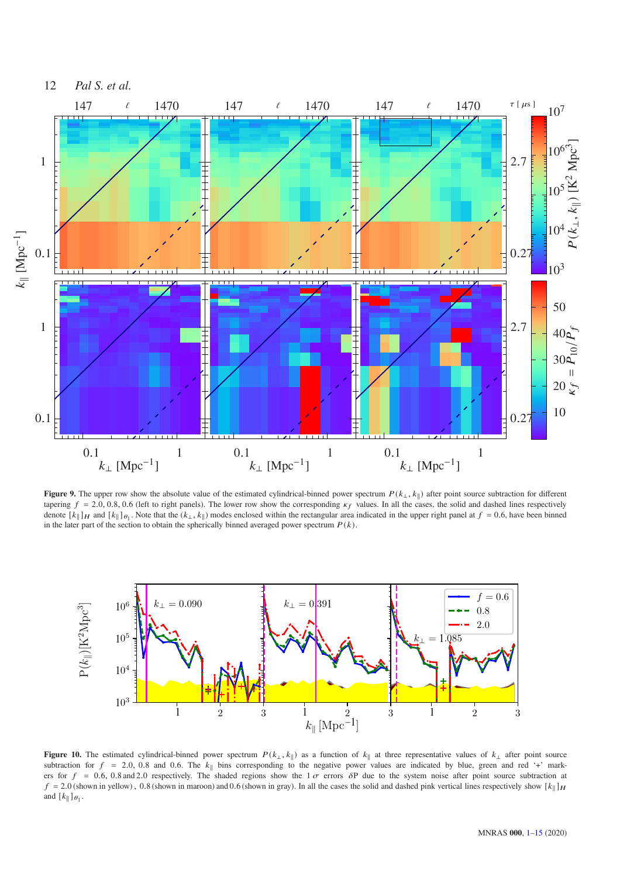

<span id="page-11-0"></span>Figure 9. The upper row show the absolute value of the estimated cylindrical-binned power spectrum  $P(k_{\perp}, k_{\parallel})$  after point source subtraction for different tapering  $f = 2.0, 0.8, 0.6$  (left to right panels). The lower row show the corresponding  $\kappa_f$  values. In all the cases, the solid and dashed lines respectively denote  $[k_{\parallel}]_H$  and  $[k_{\parallel}]_{{\theta}_1}$ . Note that the  $(k_{\perp}, k_{\parallel})$  modes enclosed within the rectangular area indicated in the upper right panel at  $f = 0.6$ , have been binned in the later part of the section to obtain the spherically binned averaged power spectrum  $P(k)$ .



<span id="page-11-1"></span>**Figure 10.** The estimated cylindrical-binned power spectrum  $P(k_{\perp}, k_{\parallel})$  as a function of  $k_{\parallel}$  at three representative values of  $k_{\perp}$  after point source subtraction for  $f = 2.0, 0.8$  and 0.6. The  $k_{\parallel}$  bins corresponding to the negative power values are indicated by blue, green and red '+' markers for  $f = 0.6$ , 0.8 and 2.0 respectively. The shaded regions show the  $1\sigma$  errors  $\delta P$  due to the system noise after point source subtraction at  $f = 2.0$  (shown in yellow), 0.8 (shown in maroon) and 0.6 (shown in gray). In all the cases the solid and dashed pink vertical lines respectively show  $[k_{\parallel}]_H$ and  $[k_{\parallel}]_{\theta_1}$ .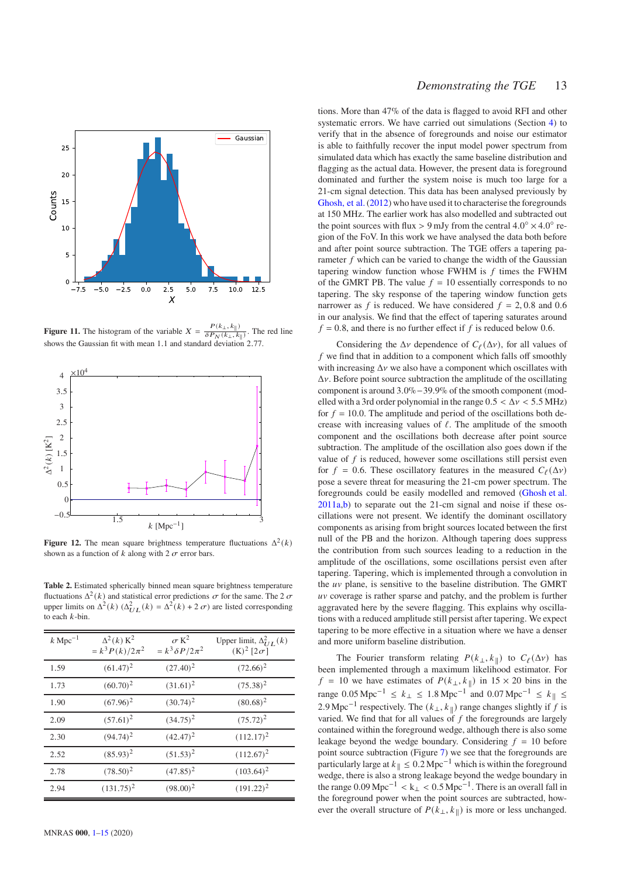

<span id="page-12-0"></span>**Figure 11.** The histogram of the variable  $X = \frac{P(k_{\perp}, k_{\parallel})}{\delta P_{\text{N}}(k_{\perp}, k_{\perp})}$  $\frac{\partial P_N(k_\perp, k_\parallel)}{\partial P_N(k_\perp, k_\parallel)}$ . The red line shows the Gaussian fit with mean 1.1 and standard deviation 2.77.



<span id="page-12-1"></span>**Figure 12.** The mean square brightness temperature fluctuations  $\Delta^2(k)$ shown as a function of  $k$  along with 2  $\sigma$  error bars.

<span id="page-12-2"></span>**Table 2.** Estimated spherically binned mean square brightness temperature fluctuations  $\Delta^2(k)$  and statistical error predictions  $\sigma$  for the same. The 2  $\sigma$ upper limits on  $\Delta^2(k)$  ( $\Delta^2_{UL}(k) = \Delta^2(k) + 2\sigma$ ) are listed corresponding to each  $k$ -bin.

| $k \text{ Mpc}^{-1}$ | $\Delta^2(k)$ K <sup>2</sup><br>$= k^3 P(k)/2\pi^2$ | $\sigma$ K <sup>2</sup><br>$= k^3 \delta P / 2\pi^2$ | Upper limit, $\Delta_{IIL}^2(k)$<br>$(K)^2$ [2 $\sigma$ ] |
|----------------------|-----------------------------------------------------|------------------------------------------------------|-----------------------------------------------------------|
| 1.59                 | $(61.47)^2$                                         | $(27.40)^2$                                          | $(72.66)^2$                                               |
| 1.73                 | $(60.70)^2$                                         | $(31.61)^2$                                          | $(75.38)^2$                                               |
| 1.90                 | $(67.96)^2$                                         | $(30.74)^2$                                          | $(80.68)^2$                                               |
| 2.09                 | $(57.61)^2$                                         | $(34.75)^2$                                          | $(75.72)^2$                                               |
| 2.30                 | $(94.74)^2$                                         | $(42.47)^2$                                          | $(112.17)^2$                                              |
| 2.52                 | $(85.93)^2$                                         | $(51.53)^2$                                          | $(112.67)^2$                                              |
| 2.78                 | $(78.50)^2$                                         | $(47.85)^2$                                          | $(103.64)^2$                                              |
| 2.94                 | $(131.75)^2$                                        | $(98.00)^2$                                          | $(191.22)^2$                                              |

tions. More than 47% of the data is flagged to avoid RFI and other systematic errors. We have carried out simulations (Section [4\)](#page-4-2) to verify that in the absence of foregrounds and noise our estimator is able to faithfully recover the input model power spectrum from simulated data which has exactly the same baseline distribution and flagging as the actual data. However, the present data is foreground dominated and further the system noise is much too large for a 21-cm signal detection. This data has been analysed previously by [Ghosh, et al.\(2012\)](#page-13-11) who have used it to characterise the foregrounds at 150 MHz. The earlier work has also modelled and subtracted out the point sources with flux > 9 mJy from the central  $4.0^{\circ} \times 4.0^{\circ}$  region of the FoV. In this work we have analysed the data both before and after point source subtraction. The TGE offers a tapering parameter  $f$  which can be varied to change the width of the Gaussian tapering window function whose FWHM is  $f$  times the FWHM of the GMRT PB. The value  $f = 10$  essentially corresponds to no tapering. The sky response of the tapering window function gets narrower as f is reduced. We have considered  $f = 2, 0.8$  and 0.6 in our analysis. We find that the effect of tapering saturates around  $f = 0.8$ , and there is no further effect if f is reduced below 0.6.

Considering the  $\Delta v$  dependence of  $C_{\ell}(\Delta v)$ , for all values of  $f$  we find that in addition to a component which falls off smoothly with increasing  $\Delta v$  we also have a component which oscillates with  $\Delta v$ . Before point source subtraction the amplitude of the oscillating component is around 3.0%−39.9% of the smooth component (modelled with a 3rd order polynomial in the range  $0.5 < \Delta v < 5.5$  MHz) for  $f = 10.0$ . The amplitude and period of the oscillations both decrease with increasing values of  $\ell$ . The amplitude of the smooth component and the oscillations both decrease after point source subtraction. The amplitude of the oscillation also goes down if the value of  $f$  is reduced, however some oscillations still persist even for  $f = 0.6$ . These oscillatory features in the measured  $C_{\ell}(\Delta v)$ pose a severe threat for measuring the 21-cm power spectrum. The foregrounds could be easily modelled and removed [\(Ghosh et al.](#page-13-20) [2011a](#page-13-20)[,b\)](#page-13-21) to separate out the 21-cm signal and noise if these oscillations were not present. We identify the dominant oscillatory components as arising from bright sources located between the first null of the PB and the horizon. Although tapering does suppress the contribution from such sources leading to a reduction in the amplitude of the oscillations, some oscillations persist even after tapering. Tapering, which is implemented through a convolution in the  $uv$  plane, is sensitive to the baseline distribution. The GMRT  $uv$  coverage is rather sparse and patchy, and the problem is further aggravated here by the severe flagging. This explains why oscillations with a reduced amplitude still persist after tapering. We expect tapering to be more effective in a situation where we have a denser and more uniform baseline distribution.

The Fourier transform relating  $P(k_{\perp}, k_{\parallel})$  to  $C_{\ell}(\Delta \nu)$  has been implemented through a maximum likelihood estimator. For  $f = 10$  we have estimates of  $P(k_{\perp}, k_{\parallel})$  in  $15 \times 20$  bins in the range 0.05 Mpc<sup>-1</sup> ≤  $k_{\perp}$  ≤ 1.8 Mpc<sup>-1</sup> and 0.07 Mpc<sup>-1</sup> ≤  $k_{\parallel}$  ≤ 2.9 Mpc<sup>-1</sup> respectively. The  $(k_{\perp}, k_{\parallel})$  range changes slightly if f is varied. We find that for all values of  $f$  the foregrounds are largely contained within the foreground wedge, although there is also some leakage beyond the wedge boundary. Considering  $f = 10$  before point source subtraction (Figure [7\)](#page-9-0) we see that the foregrounds are particularly large at  $k_{\parallel} \le 0.2$  Mpc<sup>-1</sup> which is within the foreground wedge, there is also a strong leakage beyond the wedge boundary in the range  $0.09 \text{ Mpc}^{-1} < k_{\perp} < 0.5 \text{ Mpc}^{-1}$ . There is an overall fall in the foreground power when the point sources are subtracted, however the overall structure of  $P(k_{\perp}, k_{\parallel})$  is more or less unchanged.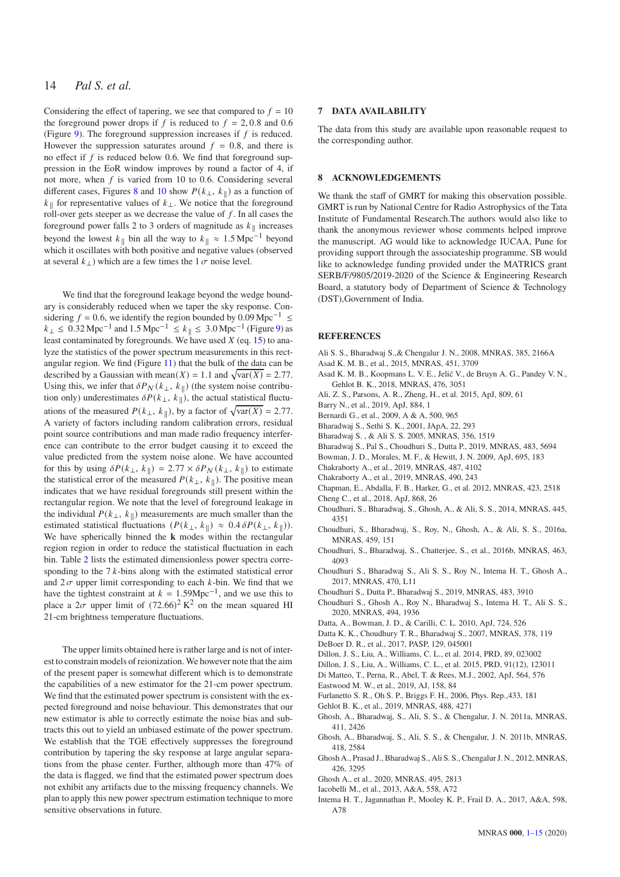Considering the effect of tapering, we see that compared to  $f = 10$ the foreground power drops if f is reduced to  $f = 2, 0.8$  and 0.6 (Figure [9\)](#page-11-0). The foreground suppression increases if  $f$  is reduced. However the suppression saturates around  $f = 0.8$ , and there is no effect if  $f$  is reduced below 0.6. We find that foreground suppression in the EoR window improves by round a factor of 4, if not more, when  $f$  is varied from 10 to 0.6. Considering several different cases, Figures [8](#page-10-0) and [10](#page-11-1) show  $P(k_{\perp}, k_{\parallel})$  as a function of  $k_{\parallel}$  for representative values of  $k_{\perp}$ . We notice that the foreground roll-over gets steeper as we decrease the value of  $f$ . In all cases the foreground power falls 2 to 3 orders of magnitude as  $k_{\parallel}$  increases beyond the lowest  $k_{\parallel}$  bin all the way to  $k_{\parallel} \approx 1.5$  Mpc<sup>-1</sup> beyond which it oscillates with both positive and negative values (observed at several  $k_{\perp}$ ) which are a few times the  $1 \sigma$  noise level.

We find that the foreground leakage beyond the wedge boundary is considerably reduced when we taper the sky response. Considering  $f = 0.6$ , we identify the region bounded by 0.09 Mpc<sup>-1</sup> ≤  $k_{\perp} \le 0.32 \,\text{Mpc}^{-1}$  and  $1.5 \,\text{Mpc}^{-1} \le k_{\parallel} \le 3.0 \,\text{Mpc}^{-1}$  (Figure [9\)](#page-11-0) as least contaminated by foregrounds. We have used  $X$  (eq. [15\)](#page-10-1) to analyze the statistics of the power spectrum measurements in this rectangular region. We find (Figure [11\)](#page-12-0) that the bulk of the data can be described by a Gaussian with mean( $X$ ) = 1.1 and  $\sqrt{\text{var}(X)}$  = 2.77. Using this, we infer that  $\delta P_N(k_{\perp}, k_{\parallel})$  (the system noise contribution only) underestimates  $\delta P(k_{\perp}, k_{\parallel})$ , the actual statistical fluctuations of the measured  $P(k_{\perp}, k_{\parallel})$ , by a factor of  $\sqrt{\text{var}(X)} = 2.77$ . A variety of factors including random calibration errors, residual point source contributions and man made radio frequency interference can contribute to the error budget causing it to exceed the value predicted from the system noise alone. We have accounted for this by using  $\delta P(k_{\perp}, k_{\parallel}) = 2.77 \times \delta P_N(k_{\perp}, k_{\parallel})$  to estimate the statistical error of the measured  $P(k_{\perp}, k_{\parallel})$ . The positive mean indicates that we have residual foregrounds still present within the rectangular region. We note that the level of foreground leakage in the individual  $P(k_{\perp}, k_{\parallel})$  measurements are much smaller than the estimated statistical fluctuations  $(P(k_{\perp}, k_{\parallel}) \approx 0.4 \delta P(k_{\perp}, k_{\parallel})$ ). We have spherically binned the **k** modes within the rectangular region region in order to reduce the statistical fluctuation in each bin. Table [2](#page-12-2) lists the estimated dimensionless power spectra corresponding to the  $7k$ -bins along with the estimated statistical error and  $2\sigma$  upper limit corresponding to each  $k$ -bin. We find that we have the tightest constraint at  $k = 1.59 \text{Mpc}^{-1}$ , and we use this to place a  $2\sigma$  upper limit of  $(72.66)^2$  K<sup>2</sup> on the mean squared HI 21-cm brightness temperature fluctuations.

The upper limits obtained here is rather large and is not of interest to constrain models of reionization. We however note that the aim of the present paper is somewhat different which is to demonstrate the capabilities of a new estimator for the 21-cm power spectrum. We find that the estimated power spectrum is consistent with the expected foreground and noise behaviour. This demonstrates that our new estimator is able to correctly estimate the noise bias and subtracts this out to yield an unbiased estimate of the power spectrum. We establish that the TGE effectively suppresses the foreground contribution by tapering the sky response at large angular separations from the phase center. Further, although more than 47% of the data is flagged, we find that the estimated power spectrum does not exhibit any artifacts due to the missing frequency channels. We plan to apply this new power spectrum estimation technique to more sensitive observations in future.

#### **7 DATA AVAILABILITY**

The data from this study are available upon reasonable request to the corresponding author.

#### <span id="page-13-0"></span>**8 ACKNOWLEDGEMENTS**

We thank the staff of GMRT for making this observation possible. GMRT is run by National Centre for Radio Astrophysics of the Tata Institute of Fundamental Research.The authors would also like to thank the anonymous reviewer whose comments helped improve the manuscript. AG would like to acknowledge IUCAA, Pune for providing support through the associateship programme. SB would like to acknowledge funding provided under the MATRICS grant SERB/F/9805/2019-2020 of the Science & Engineering Research Board, a statutory body of Department of Science & Technology (DST),Government of India.

#### **REFERENCES**

- <span id="page-13-9"></span>Ali S. S., Bharadwaj S.,& Chengalur J. N., 2008, MNRAS, 385, 2166A
- <span id="page-13-22"></span>Asad K. M. B., et al., 2015, MNRAS, 451, 3709
- <span id="page-13-23"></span>Asad K. M. B., Koopmans L. V. E., Jelić V., de Bruyn A. G., Pandey V. N., Gehlot B. K., 2018, MNRAS, 476, 3051
- <span id="page-13-19"></span>Ali, Z. S., Parsons, A. R., Zheng, H., et al. 2015, ApJ, 809, 61
- <span id="page-13-5"></span>Barry N., et al., 2019, ApJ, 884, 1
- <span id="page-13-10"></span>Bernardi G., et al., 2009, A & A, 500, 965
- <span id="page-13-34"></span>Bharadwaj S., Sethi S. K., 2001, JApA, 22, 293
- <span id="page-13-1"></span>Bharadwaj S. , & Ali S. S. 2005, MNRAS, 356, 1519
- <span id="page-13-33"></span>Bharadwaj S., Pal S., Choudhuri S., Dutta P., 2019, MNRAS, 483, 5694
- <span id="page-13-14"></span>Bowman, J. D., Morales, M. F., & Hewitt, J. N. 2009, ApJ, 695, 183
- <span id="page-13-29"></span>Chakraborty A., et al., 2019, MNRAS, 487, 4102
- <span id="page-13-30"></span>Chakraborty A., et al., 2019, MNRAS, 490, 243
- <span id="page-13-15"></span>Chapman, E., Abdalla, F. B., Harker, G., et al. 2012, MNRAS, 423, 2518
- <span id="page-13-6"></span>Cheng C., et al., 2018, ApJ, 868, 26
- <span id="page-13-25"></span>Choudhuri, S., Bharadwaj, S., Ghosh, A., & Ali, S. S., 2014, MNRAS, 445, 4351
- <span id="page-13-26"></span>Choudhuri, S., Bharadwaj, S., Roy, N., Ghosh, A., & Ali, S. S., 2016a, MNRAS, 459, 151
- <span id="page-13-27"></span>Choudhuri, S., Bharadwaj, S., Chatterjee, S., et al., 2016b, MNRAS, 463, 4093
- <span id="page-13-13"></span>Choudhuri S., Bharadwaj S., Ali S. S., Roy N., Intema H. T., Ghosh A., 2017, MNRAS, 470, L11
- <span id="page-13-31"></span>Choudhuri S., Dutta P., Bharadwaj S., 2019, MNRAS, 483, 3910
- <span id="page-13-28"></span>Choudhuri S., Ghosh A., Roy N., Bharadwaj S., Intema H. T., Ali S. S., 2020, MNRAS, 494, 1936
- <span id="page-13-17"></span>Datta, A., Bowman, J. D., & Carilli, C. L. 2010, ApJ, 724, 526
- <span id="page-13-32"></span>Datta K. K., Choudhury T. R., Bharadwaj S., 2007, MNRAS, 378, 119
- <span id="page-13-7"></span>DeBoer D. R., et al., 2017, PASP, 129, 045001
- <span id="page-13-4"></span>Dillon, J. S., Liu, A., Williams, C. L., et al. 2014, PRD, 89, 023002
- <span id="page-13-18"></span>Dillon, J. S., Liu, A., Williams, C. L., et al. 2015, PRD, 91(12), 123011
- <span id="page-13-8"></span>Di Matteo, T., Perna, R., Abel, T. & Rees, M.J., 2002, ApJ, 564, 576
- <span id="page-13-24"></span>Eastwood M. W., et al., 2019, AJ, 158, 84
- <span id="page-13-2"></span>Furlanetto S. R., Oh S. P., Briggs F. H., 2006, Phys. Rep.,433, 181
- <span id="page-13-3"></span>Gehlot B. K., et al., 2019, MNRAS, 488, 4271
- <span id="page-13-20"></span>Ghosh, A., Bharadwaj, S., Ali, S. S., & Chengalur, J. N. 2011a, MNRAS, 411, 2426
- <span id="page-13-21"></span>Ghosh, A., Bharadwaj, S., Ali, S. S., & Chengalur, J. N. 2011b, MNRAS, 418, 2584
- <span id="page-13-11"></span>Ghosh A., Prasad J., Bharadwaj S., Ali S. S., Chengalur J. N., 2012, MNRAS, 426, 3295
- <span id="page-13-16"></span>Ghosh A., et al., 2020, MNRAS, 495, 2813
- <span id="page-13-12"></span>Iacobelli M., et al., 2013, A&A, 558, A72
- <span id="page-13-35"></span>Intema H. T., Jagannathan P., Mooley K. P., Frail D. A., 2017, A&A, 598, A78